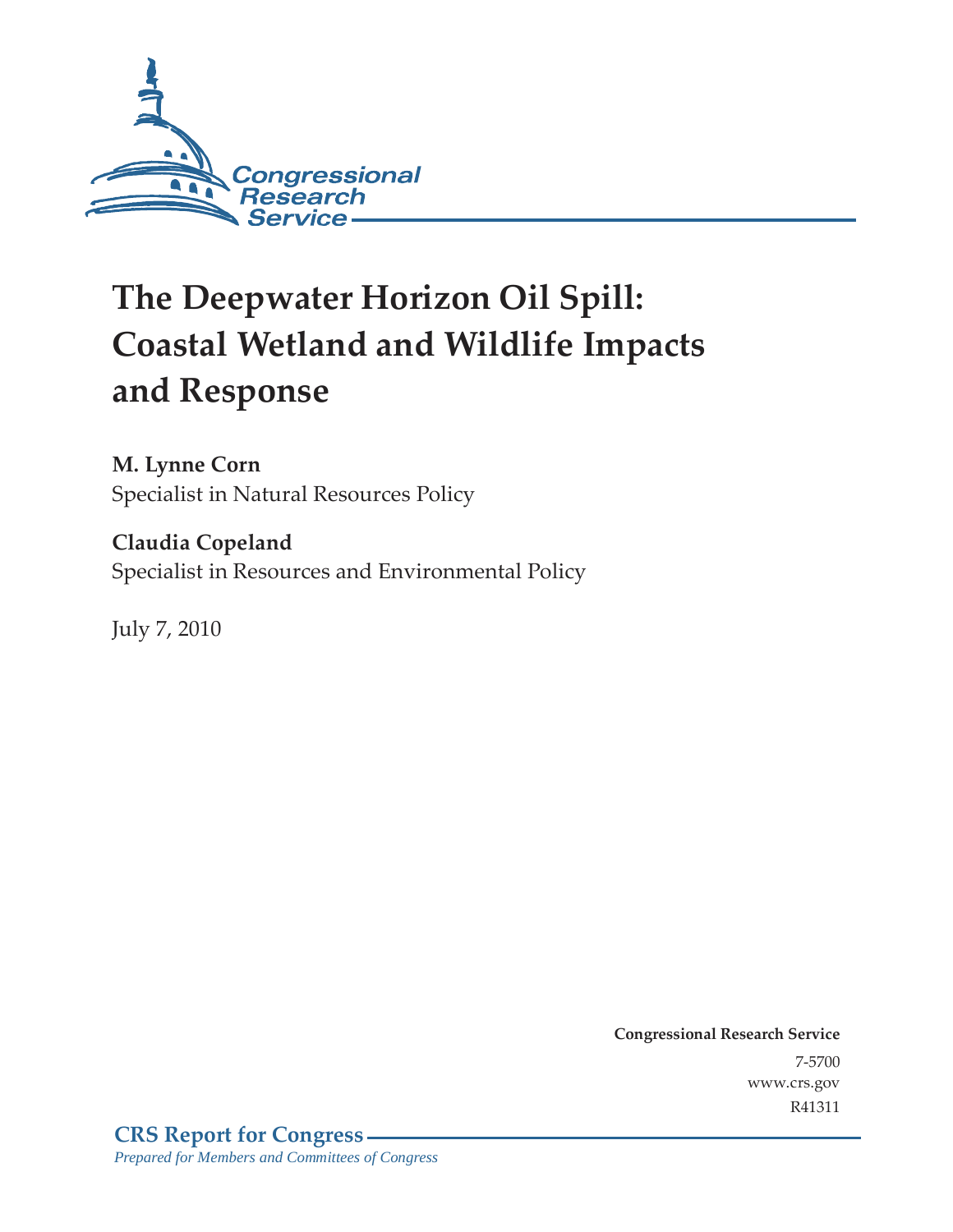

# **The Deepwater Horizon Oil Spill: Coastal Wetland and Wildlife Impacts and Response**

**M. Lynne Corn**  Specialist in Natural Resources Policy

**Claudia Copeland**  Specialist in Resources and Environmental Policy

July 7, 2010

**Congressional Research Service** 7-5700 www.crs.gov R41311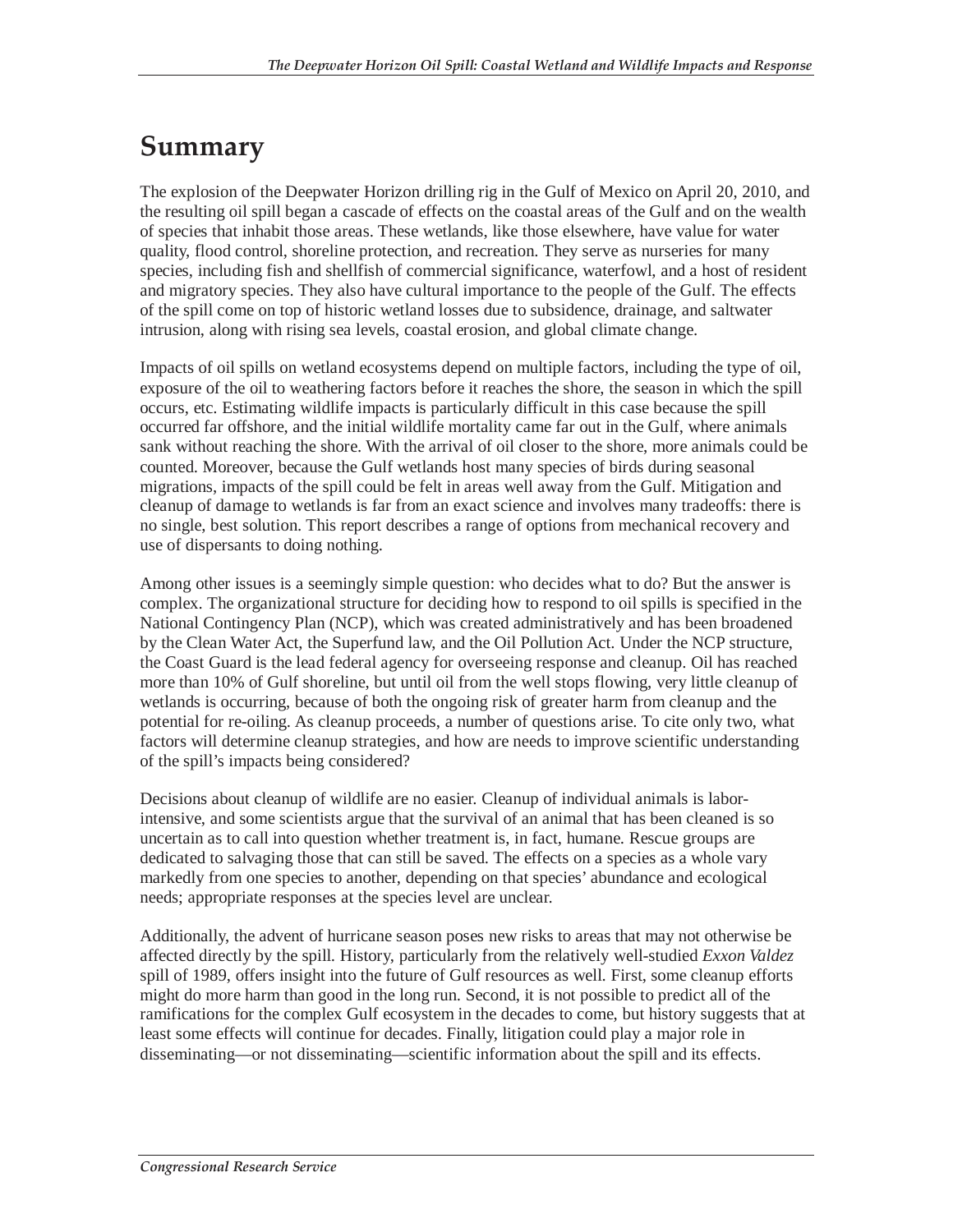## **Summary**

The explosion of the Deepwater Horizon drilling rig in the Gulf of Mexico on April 20, 2010, and the resulting oil spill began a cascade of effects on the coastal areas of the Gulf and on the wealth of species that inhabit those areas. These wetlands, like those elsewhere, have value for water quality, flood control, shoreline protection, and recreation. They serve as nurseries for many species, including fish and shellfish of commercial significance, waterfowl, and a host of resident and migratory species. They also have cultural importance to the people of the Gulf. The effects of the spill come on top of historic wetland losses due to subsidence, drainage, and saltwater intrusion, along with rising sea levels, coastal erosion, and global climate change.

Impacts of oil spills on wetland ecosystems depend on multiple factors, including the type of oil, exposure of the oil to weathering factors before it reaches the shore, the season in which the spill occurs, etc. Estimating wildlife impacts is particularly difficult in this case because the spill occurred far offshore, and the initial wildlife mortality came far out in the Gulf, where animals sank without reaching the shore. With the arrival of oil closer to the shore, more animals could be counted. Moreover, because the Gulf wetlands host many species of birds during seasonal migrations, impacts of the spill could be felt in areas well away from the Gulf. Mitigation and cleanup of damage to wetlands is far from an exact science and involves many tradeoffs: there is no single, best solution. This report describes a range of options from mechanical recovery and use of dispersants to doing nothing.

Among other issues is a seemingly simple question: who decides what to do? But the answer is complex. The organizational structure for deciding how to respond to oil spills is specified in the National Contingency Plan (NCP), which was created administratively and has been broadened by the Clean Water Act, the Superfund law, and the Oil Pollution Act. Under the NCP structure, the Coast Guard is the lead federal agency for overseeing response and cleanup. Oil has reached more than 10% of Gulf shoreline, but until oil from the well stops flowing, very little cleanup of wetlands is occurring, because of both the ongoing risk of greater harm from cleanup and the potential for re-oiling. As cleanup proceeds, a number of questions arise. To cite only two, what factors will determine cleanup strategies, and how are needs to improve scientific understanding of the spill's impacts being considered?

Decisions about cleanup of wildlife are no easier. Cleanup of individual animals is laborintensive, and some scientists argue that the survival of an animal that has been cleaned is so uncertain as to call into question whether treatment is, in fact, humane. Rescue groups are dedicated to salvaging those that can still be saved. The effects on a species as a whole vary markedly from one species to another, depending on that species' abundance and ecological needs; appropriate responses at the species level are unclear.

Additionally, the advent of hurricane season poses new risks to areas that may not otherwise be affected directly by the spill. History, particularly from the relatively well-studied *Exxon Valdez* spill of 1989, offers insight into the future of Gulf resources as well. First, some cleanup efforts might do more harm than good in the long run. Second, it is not possible to predict all of the ramifications for the complex Gulf ecosystem in the decades to come, but history suggests that at least some effects will continue for decades. Finally, litigation could play a major role in disseminating—or not disseminating—scientific information about the spill and its effects.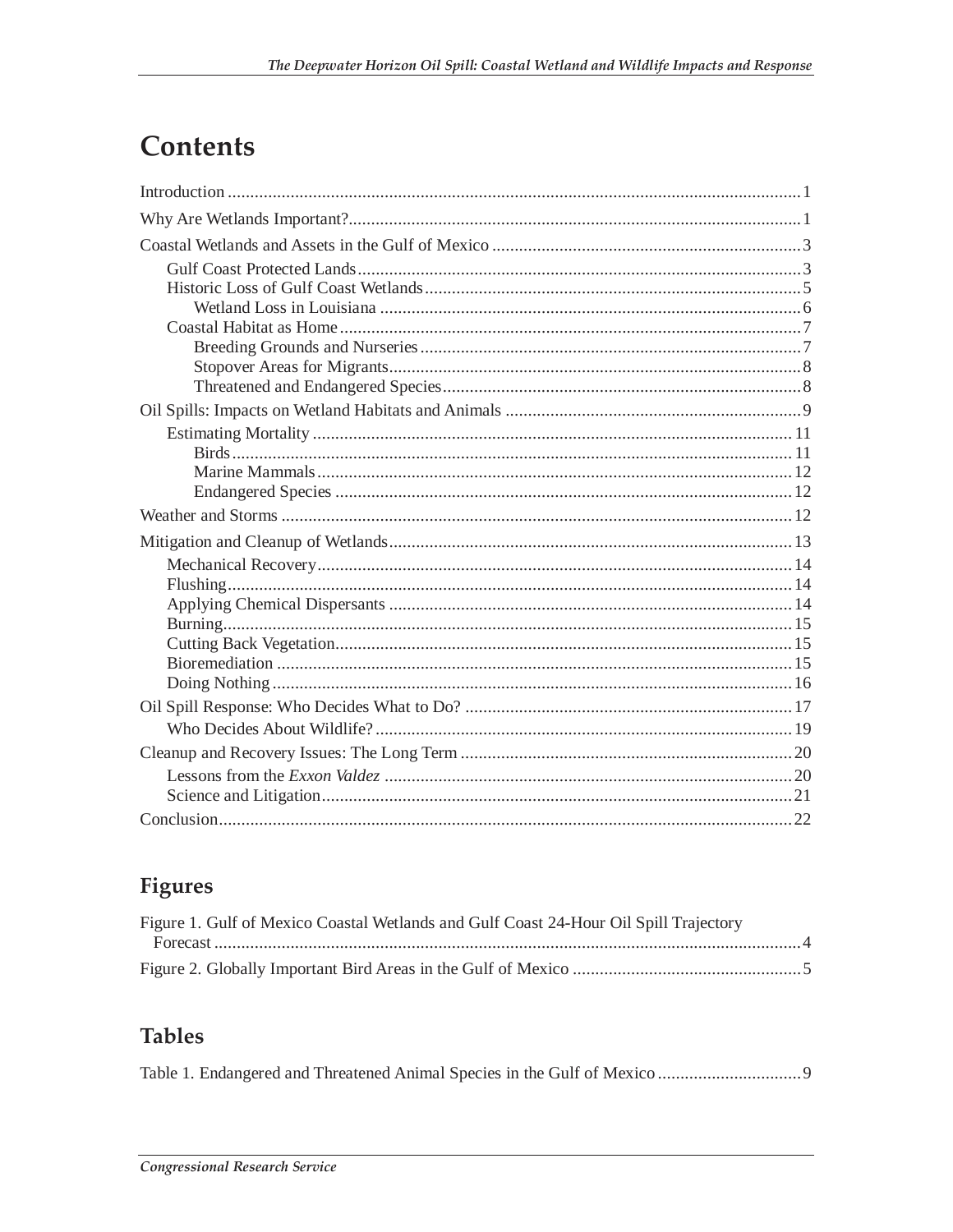## **Contents**

## Figures

| Figure 1. Gulf of Mexico Coastal Wetlands and Gulf Coast 24-Hour Oil Spill Trajectory |  |
|---------------------------------------------------------------------------------------|--|
|                                                                                       |  |
|                                                                                       |  |

### **Tables**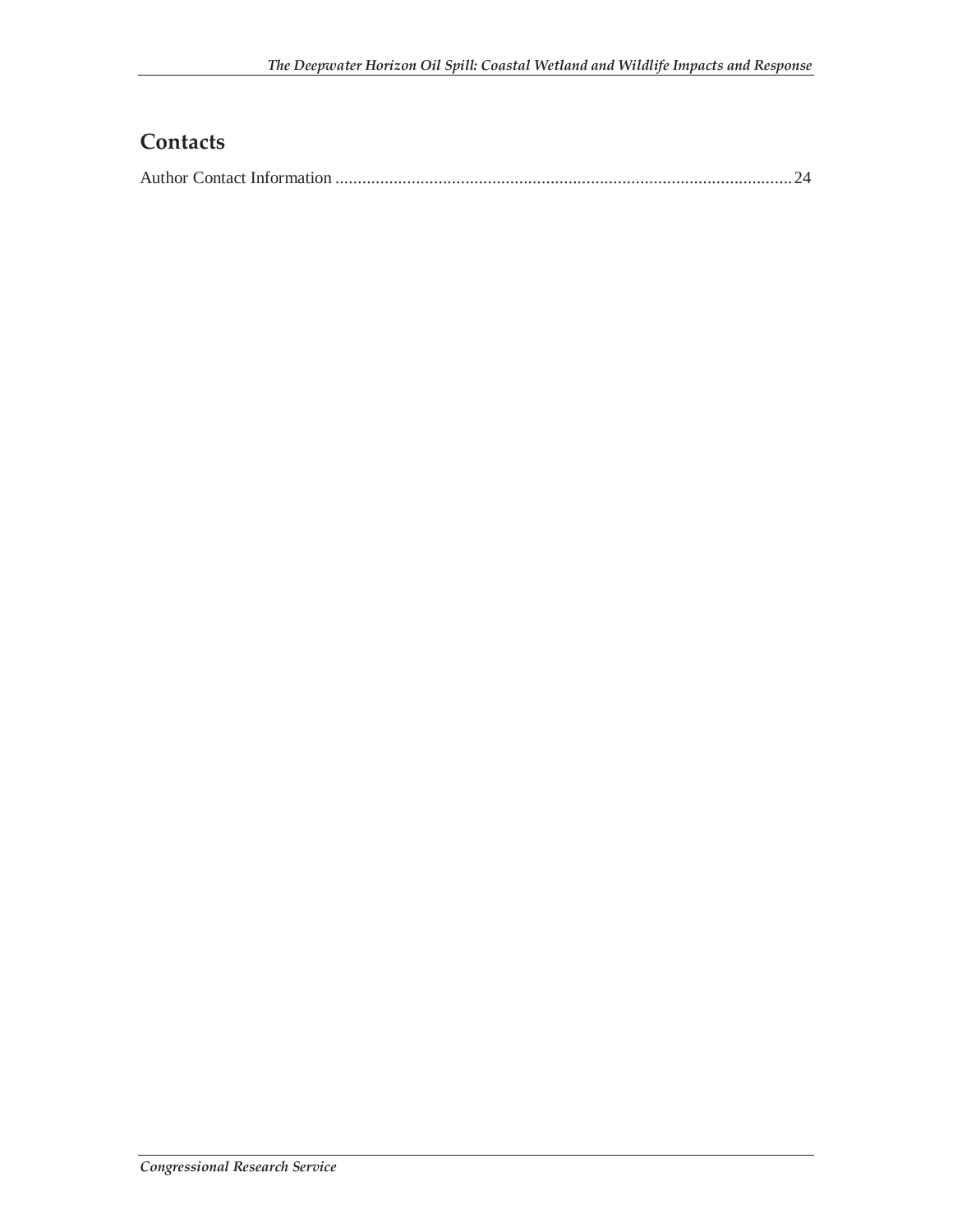## **Contacts**

|--|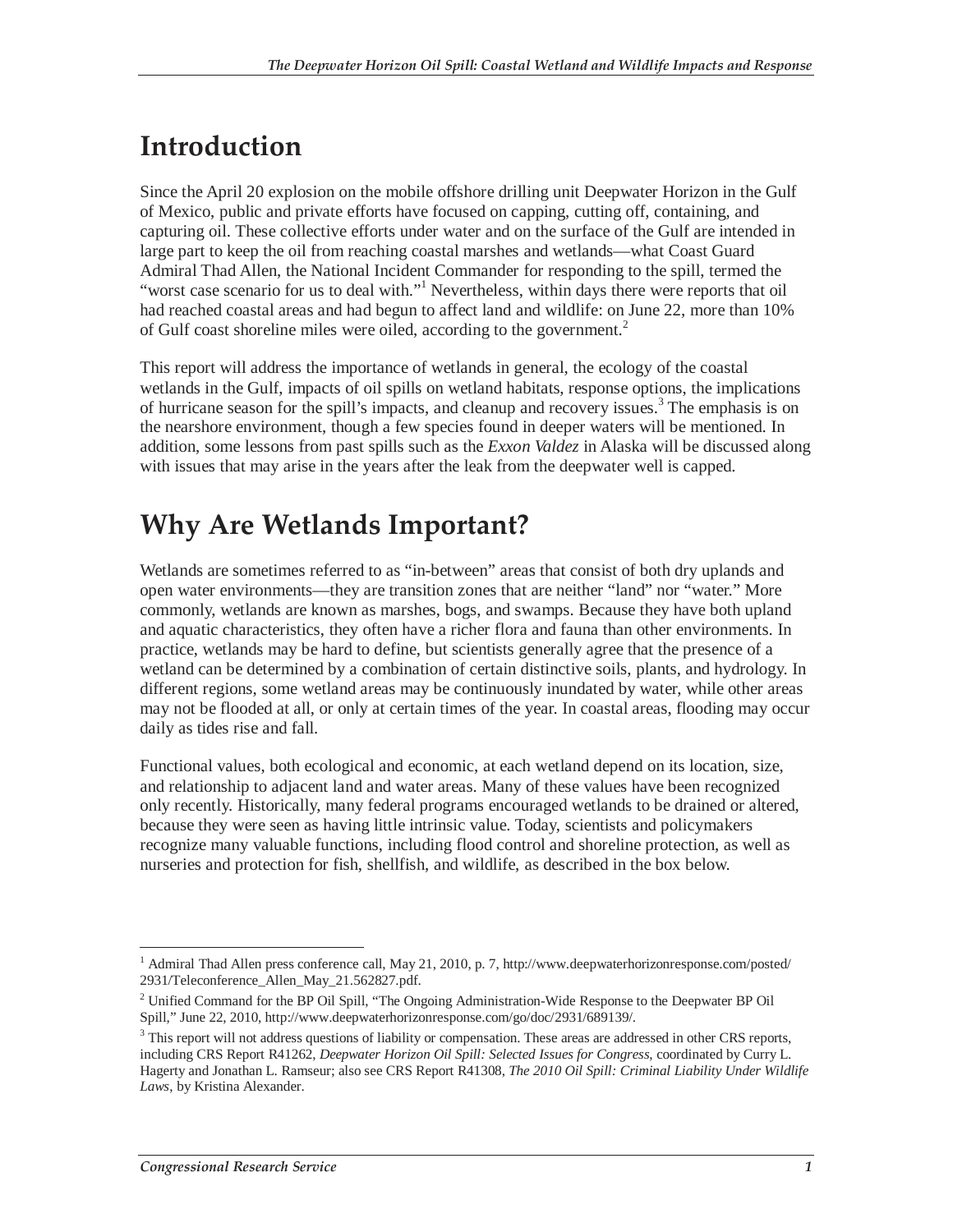## **Introduction**

Since the April 20 explosion on the mobile offshore drilling unit Deepwater Horizon in the Gulf of Mexico, public and private efforts have focused on capping, cutting off, containing, and capturing oil. These collective efforts under water and on the surface of the Gulf are intended in large part to keep the oil from reaching coastal marshes and wetlands—what Coast Guard Admiral Thad Allen, the National Incident Commander for responding to the spill, termed the "worst case scenario for us to deal with."<sup>1</sup> Nevertheless, within days there were reports that oil had reached coastal areas and had begun to affect land and wildlife: on June 22, more than 10% of Gulf coast shoreline miles were oiled, according to the government.<sup>2</sup>

This report will address the importance of wetlands in general, the ecology of the coastal wetlands in the Gulf, impacts of oil spills on wetland habitats, response options, the implications of hurricane season for the spill's impacts, and cleanup and recovery issues.<sup>3</sup> The emphasis is on the nearshore environment, though a few species found in deeper waters will be mentioned. In addition, some lessons from past spills such as the *Exxon Valdez* in Alaska will be discussed along with issues that may arise in the years after the leak from the deepwater well is capped.

## **Why Are Wetlands Important?**

Wetlands are sometimes referred to as "in-between" areas that consist of both dry uplands and open water environments—they are transition zones that are neither "land" nor "water." More commonly, wetlands are known as marshes, bogs, and swamps. Because they have both upland and aquatic characteristics, they often have a richer flora and fauna than other environments. In practice, wetlands may be hard to define, but scientists generally agree that the presence of a wetland can be determined by a combination of certain distinctive soils, plants, and hydrology. In different regions, some wetland areas may be continuously inundated by water, while other areas may not be flooded at all, or only at certain times of the year. In coastal areas, flooding may occur daily as tides rise and fall.

Functional values, both ecological and economic, at each wetland depend on its location, size, and relationship to adjacent land and water areas. Many of these values have been recognized only recently. Historically, many federal programs encouraged wetlands to be drained or altered, because they were seen as having little intrinsic value. Today, scientists and policymakers recognize many valuable functions, including flood control and shoreline protection, as well as nurseries and protection for fish, shellfish, and wildlife, as described in the box below.

 $\overline{a}$ <sup>1</sup> Admiral Thad Allen press conference call, May 21, 2010, p. 7, http://www.deepwaterhorizonresponse.com/posted/ 2931/Teleconference\_Allen\_May\_21.562827.pdf.

<sup>&</sup>lt;sup>2</sup> Unified Command for the BP Oil Spill, "The Ongoing Administration-Wide Response to the Deepwater BP Oil Spill," June 22, 2010, http://www.deepwaterhorizonresponse.com/go/doc/2931/689139/.

<sup>&</sup>lt;sup>3</sup> This report will not address questions of liability or compensation. These areas are addressed in other CRS reports, including CRS Report R41262, *Deepwater Horizon Oil Spill: Selected Issues for Congress*, coordinated by Curry L. Hagerty and Jonathan L. Ramseur; also see CRS Report R41308, *The 2010 Oil Spill: Criminal Liability Under Wildlife Laws*, by Kristina Alexander.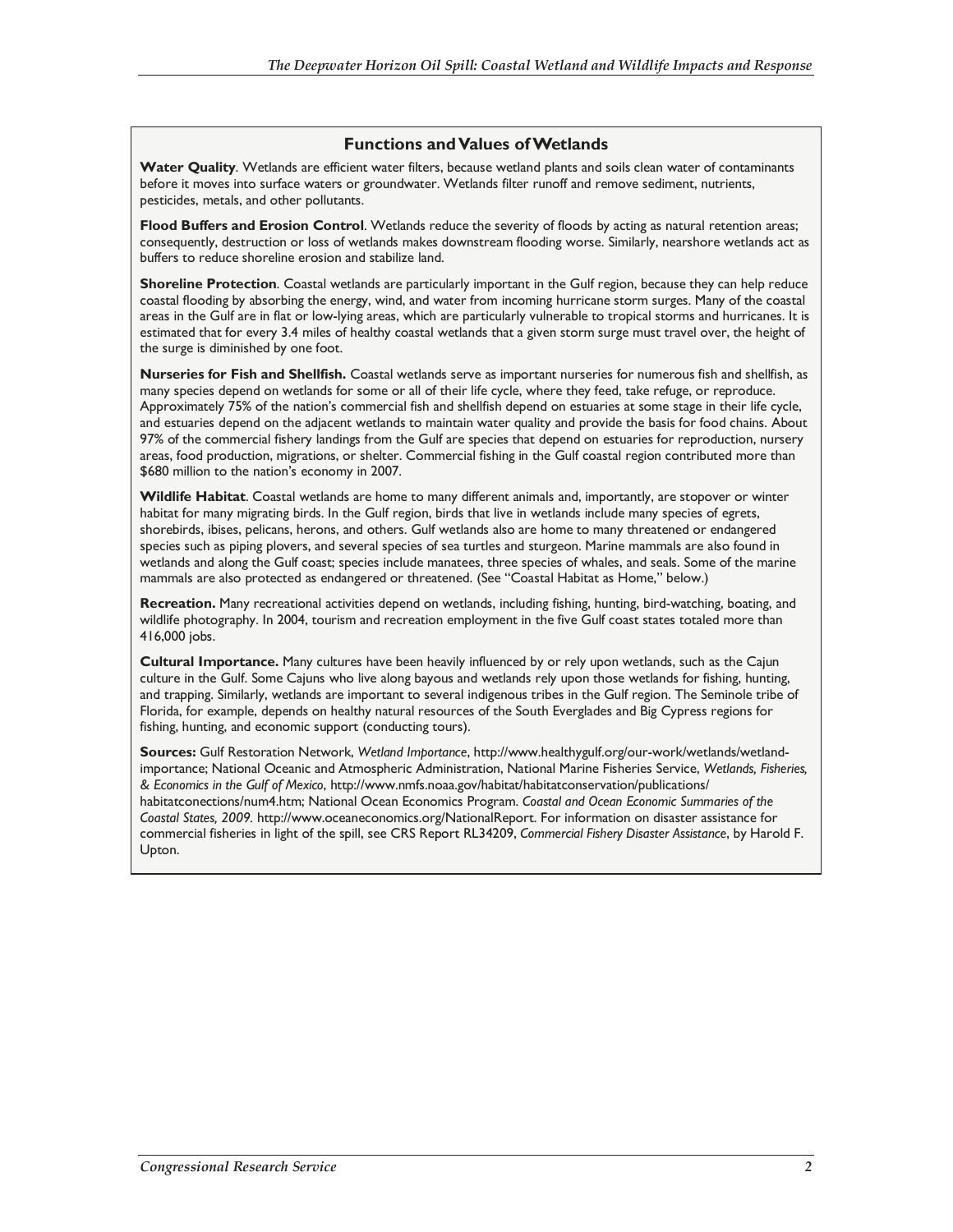#### **Functions and Values of Wetlands**

**Water Quality**. Wetlands are efficient water filters, because wetland plants and soils clean water of contaminants before it moves into surface waters or groundwater. Wetlands filter runoff and remove sediment, nutrients, pesticides, metals, and other pollutants.

**Flood Buffers and Erosion Control**. Wetlands reduce the severity of floods by acting as natural retention areas; consequently, destruction or loss of wetlands makes downstream flooding worse. Similarly, nearshore wetlands act as buffers to reduce shoreline erosion and stabilize land.

**Shoreline Protection**. Coastal wetlands are particularly important in the Gulf region, because they can help reduce coastal flooding by absorbing the energy, wind, and water from incoming hurricane storm surges. Many of the coastal areas in the Gulf are in flat or low-lying areas, which are particularly vulnerable to tropical storms and hurricanes. It is estimated that for every 3.4 miles of healthy coastal wetlands that a given storm surge must travel over, the height of the surge is diminished by one foot.

**Nurseries for Fish and Shellfish.** Coastal wetlands serve as important nurseries for numerous fish and shellfish, as many species depend on wetlands for some or all of their life cycle, where they feed, take refuge, or reproduce. Approximately 75% of the nation's commercial fish and shellfish depend on estuaries at some stage in their life cycle, and estuaries depend on the adjacent wetlands to maintain water quality and provide the basis for food chains. About 97% of the commercial fishery landings from the Gulf are species that depend on estuaries for reproduction, nursery areas, food production, migrations, or shelter. Commercial fishing in the Gulf coastal region contributed more than \$680 million to the nation's economy in 2007.

**Wildlife Habitat**. Coastal wetlands are home to many different animals and, importantly, are stopover or winter habitat for many migrating birds. In the Gulf region, birds that live in wetlands include many species of egrets, shorebirds, ibises, pelicans, herons, and others. Gulf wetlands also are home to many threatened or endangered species such as piping plovers, and several species of sea turtles and sturgeon. Marine mammals are also found in wetlands and along the Gulf coast; species include manatees, three species of whales, and seals. Some of the marine mammals are also protected as endangered or threatened. (See "Coastal Habitat as Home," below.)

**Recreation.** Many recreational activities depend on wetlands, including fishing, hunting, bird-watching, boating, and wildlife photography. In 2004, tourism and recreation employment in the five Gulf coast states totaled more than 416,000 jobs.

**Cultural Importance.** Many cultures have been heavily influenced by or rely upon wetlands, such as the Cajun culture in the Gulf. Some Cajuns who live along bayous and wetlands rely upon those wetlands for fishing, hunting, and trapping. Similarly, wetlands are important to several indigenous tribes in the Gulf region. The Seminole tribe of Florida, for example, depends on healthy natural resources of the South Everglades and Big Cypress regions for fishing, hunting, and economic support (conducting tours).

**Sources:** Gulf Restoration Network, *Wetland Importance*, http://www.healthygulf.org/our-work/wetlands/wetlandimportance; National Oceanic and Atmospheric Administration, National Marine Fisheries Service, *Wetlands, Fisheries, & Economics in the Gulf of Mexico*, http://www.nmfs.noaa.gov/habitat/habitatconservation/publications/ habitatconections/num4.htm; National Ocean Economics Program. *Coastal and Ocean Economic Summaries of the Coastal States, 2009.* http://www.oceaneconomics.org/NationalReport. For information on disaster assistance for commercial fisheries in light of the spill, see CRS Report RL34209, *Commercial Fishery Disaster Assistance*, by Harold F. Upton.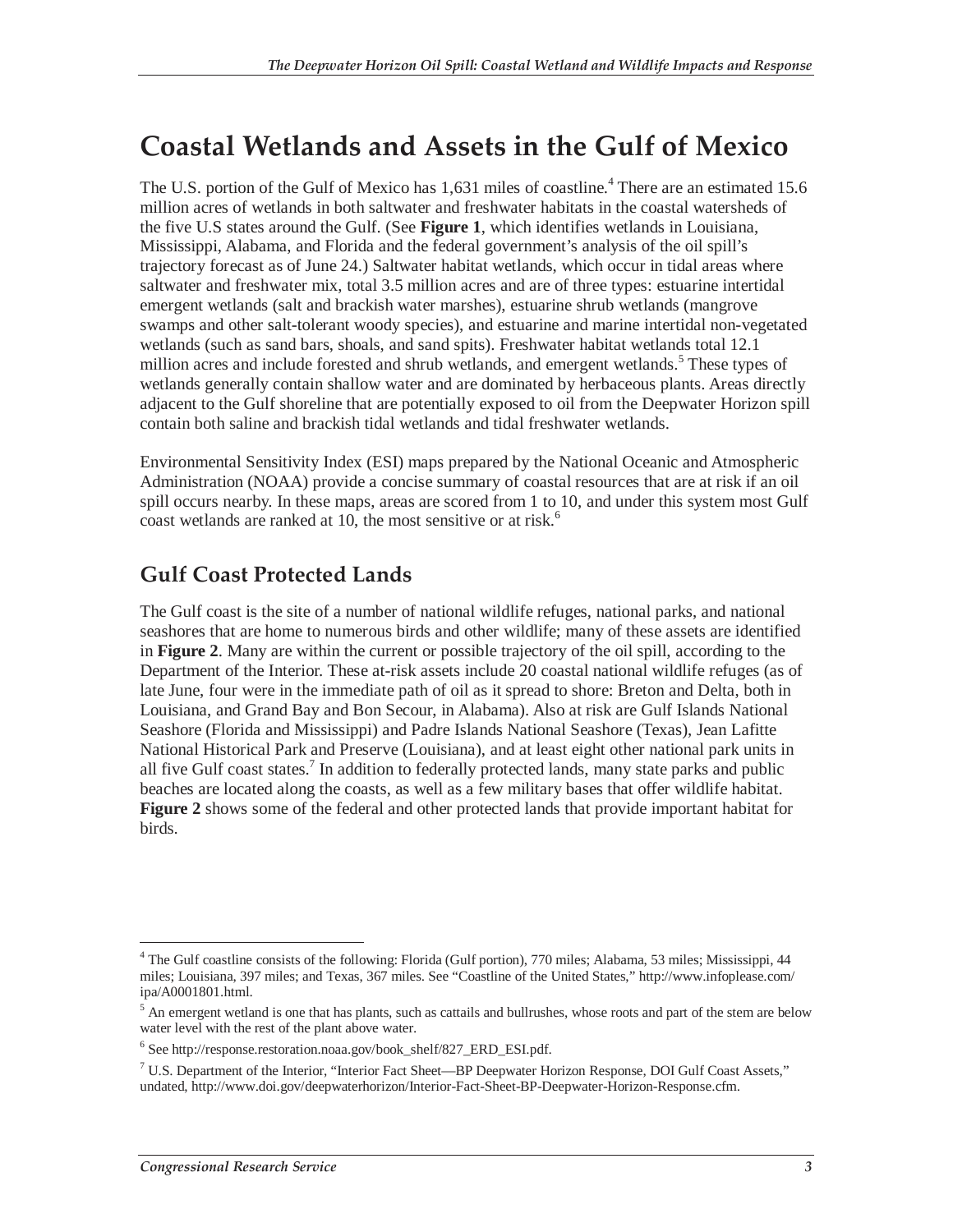## **Coastal Wetlands and Assets in the Gulf of Mexico**

The U.S. portion of the Gulf of Mexico has 1,631 miles of coastline.<sup>4</sup> There are an estimated 15.6 million acres of wetlands in both saltwater and freshwater habitats in the coastal watersheds of the five U.S states around the Gulf. (See **Figure 1**, which identifies wetlands in Louisiana, Mississippi, Alabama, and Florida and the federal government's analysis of the oil spill's trajectory forecast as of June 24.) Saltwater habitat wetlands, which occur in tidal areas where saltwater and freshwater mix, total 3.5 million acres and are of three types: estuarine intertidal emergent wetlands (salt and brackish water marshes), estuarine shrub wetlands (mangrove swamps and other salt-tolerant woody species), and estuarine and marine intertidal non-vegetated wetlands (such as sand bars, shoals, and sand spits). Freshwater habitat wetlands total 12.1 million acres and include forested and shrub wetlands, and emergent wetlands.<sup>5</sup> These types of wetlands generally contain shallow water and are dominated by herbaceous plants. Areas directly adjacent to the Gulf shoreline that are potentially exposed to oil from the Deepwater Horizon spill contain both saline and brackish tidal wetlands and tidal freshwater wetlands.

Environmental Sensitivity Index (ESI) maps prepared by the National Oceanic and Atmospheric Administration (NOAA) provide a concise summary of coastal resources that are at risk if an oil spill occurs nearby. In these maps, areas are scored from 1 to 10, and under this system most Gulf coast wetlands are ranked at 10, the most sensitive or at risk.<sup>6</sup>

### **Gulf Coast Protected Lands**

The Gulf coast is the site of a number of national wildlife refuges, national parks, and national seashores that are home to numerous birds and other wildlife; many of these assets are identified in **Figure 2**. Many are within the current or possible trajectory of the oil spill, according to the Department of the Interior. These at-risk assets include 20 coastal national wildlife refuges (as of late June, four were in the immediate path of oil as it spread to shore: Breton and Delta, both in Louisiana, and Grand Bay and Bon Secour, in Alabama). Also at risk are Gulf Islands National Seashore (Florida and Mississippi) and Padre Islands National Seashore (Texas), Jean Lafitte National Historical Park and Preserve (Louisiana), and at least eight other national park units in all five Gulf coast states.<sup>7</sup> In addition to federally protected lands, many state parks and public beaches are located along the coasts, as well as a few military bases that offer wildlife habitat. **Figure 2** shows some of the federal and other protected lands that provide important habitat for birds.

The Gulf coastline consists of the following: Florida (Gulf portion), 770 miles; Alabama, 53 miles; Mississippi, 44 miles; Louisiana, 397 miles; and Texas, 367 miles. See "Coastline of the United States," http://www.infoplease.com/ ipa/A0001801.html.

<sup>&</sup>lt;sup>5</sup> An emergent wetland is one that has plants, such as cattails and bullrushes, whose roots and part of the stem are below water level with the rest of the plant above water.

<sup>6</sup> See http://response.restoration.noaa.gov/book\_shelf/827\_ERD\_ESI.pdf.

<sup>7</sup> U.S. Department of the Interior, "Interior Fact Sheet—BP Deepwater Horizon Response, DOI Gulf Coast Assets," undated, http://www.doi.gov/deepwaterhorizon/Interior-Fact-Sheet-BP-Deepwater-Horizon-Response.cfm.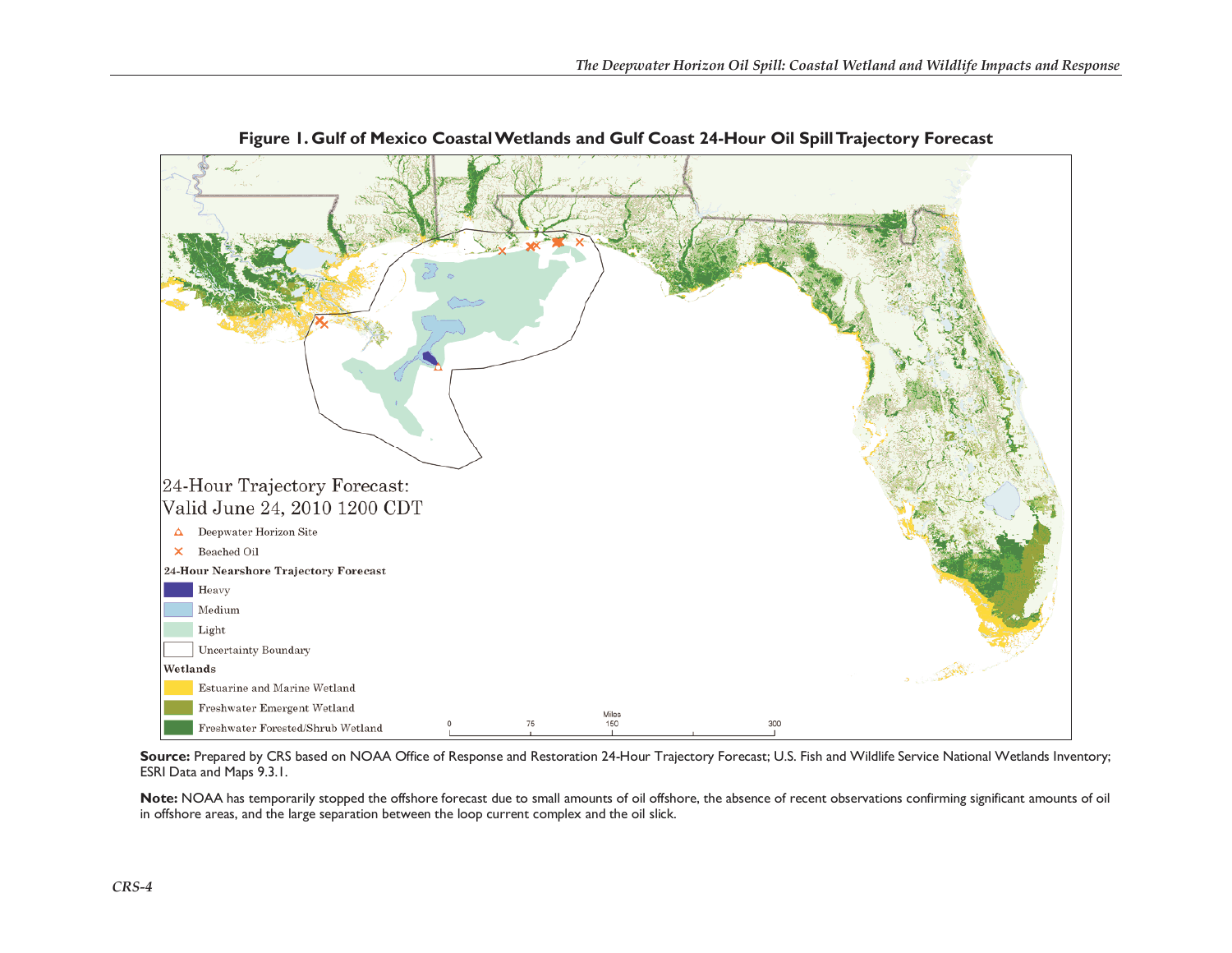

**Figure 1. Gulf of Mexico Coastal Wetlands and Gulf Coast 24-Hour Oil Spill Trajectory Forecast** 

Source: Prepared by CRS based on NOAA Office of Response and Restoration 24-Hour Trajectory Forecast; U.S. Fish and Wildlife Service National Wetlands Inventory; ESRI Data and Maps 9.3.1.

**Note:** NOAA has temporarily stopped the offshore forecast due to small amounts of oil offshore, the absence of recent observations confirming significant amounts of oil in offshore areas, and the large separation between the loop current complex and the oil slick.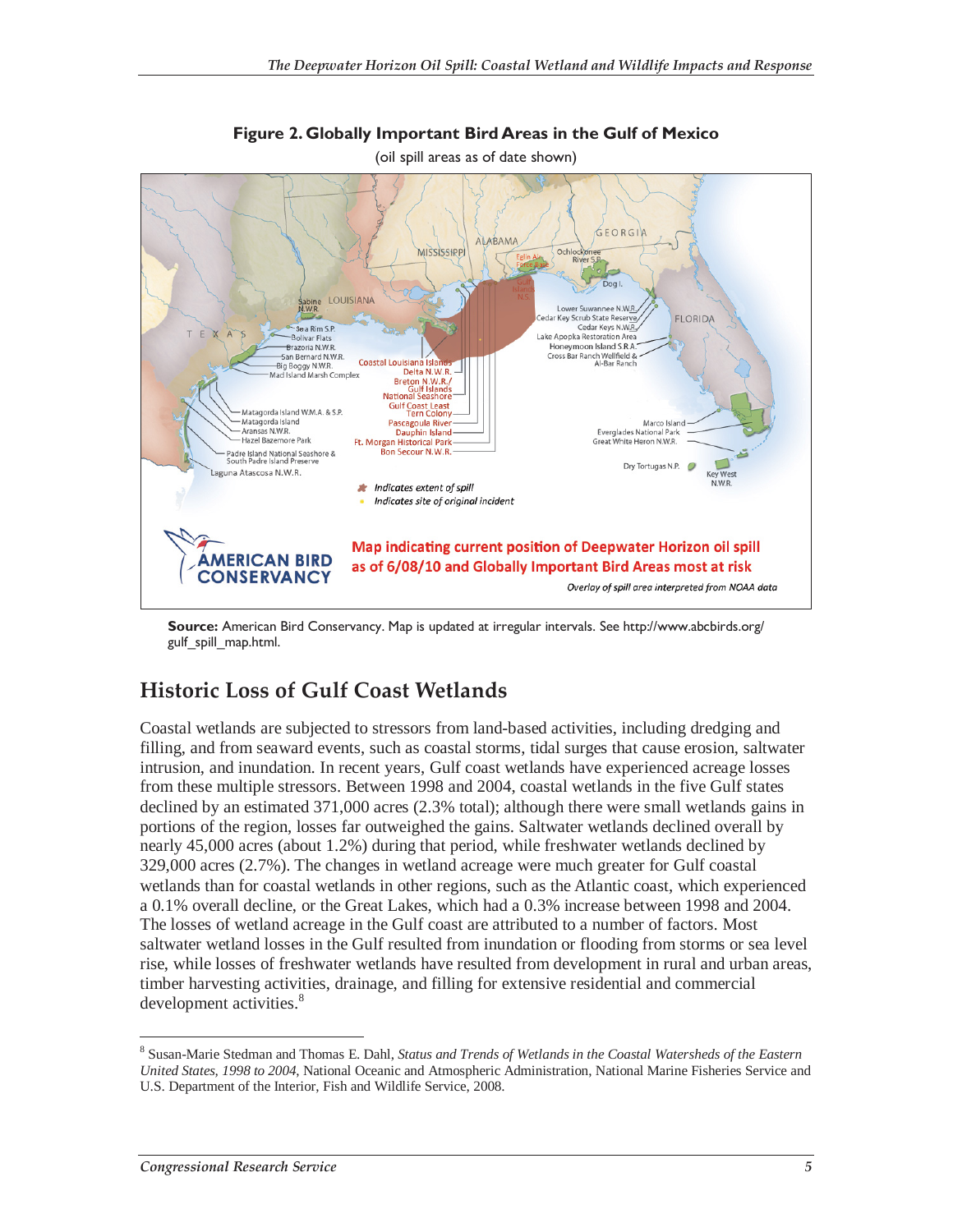

**Figure 2. Globally Important Bird Areas in the Gulf of Mexico**  (oil spill areas as of date shown)

**Source:** American Bird Conservancy. Map is updated at irregular intervals. See http://www.abcbirds.org/ gulf\_spill\_map.html.

## **Historic Loss of Gulf Coast Wetlands**

Coastal wetlands are subjected to stressors from land-based activities, including dredging and filling, and from seaward events, such as coastal storms, tidal surges that cause erosion, saltwater intrusion, and inundation. In recent years, Gulf coast wetlands have experienced acreage losses from these multiple stressors. Between 1998 and 2004, coastal wetlands in the five Gulf states declined by an estimated 371,000 acres (2.3% total); although there were small wetlands gains in portions of the region, losses far outweighed the gains. Saltwater wetlands declined overall by nearly 45,000 acres (about 1.2%) during that period, while freshwater wetlands declined by 329,000 acres (2.7%). The changes in wetland acreage were much greater for Gulf coastal wetlands than for coastal wetlands in other regions, such as the Atlantic coast, which experienced a 0.1% overall decline, or the Great Lakes, which had a 0.3% increase between 1998 and 2004. The losses of wetland acreage in the Gulf coast are attributed to a number of factors. Most saltwater wetland losses in the Gulf resulted from inundation or flooding from storms or sea level rise, while losses of freshwater wetlands have resulted from development in rural and urban areas, timber harvesting activities, drainage, and filling for extensive residential and commercial development activities.<sup>8</sup>

<sup>-</sup>8 Susan-Marie Stedman and Thomas E. Dahl, *Status and Trends of Wetlands in the Coastal Watersheds of the Eastern United States, 1998 to 2004*, National Oceanic and Atmospheric Administration, National Marine Fisheries Service and U.S. Department of the Interior, Fish and Wildlife Service, 2008.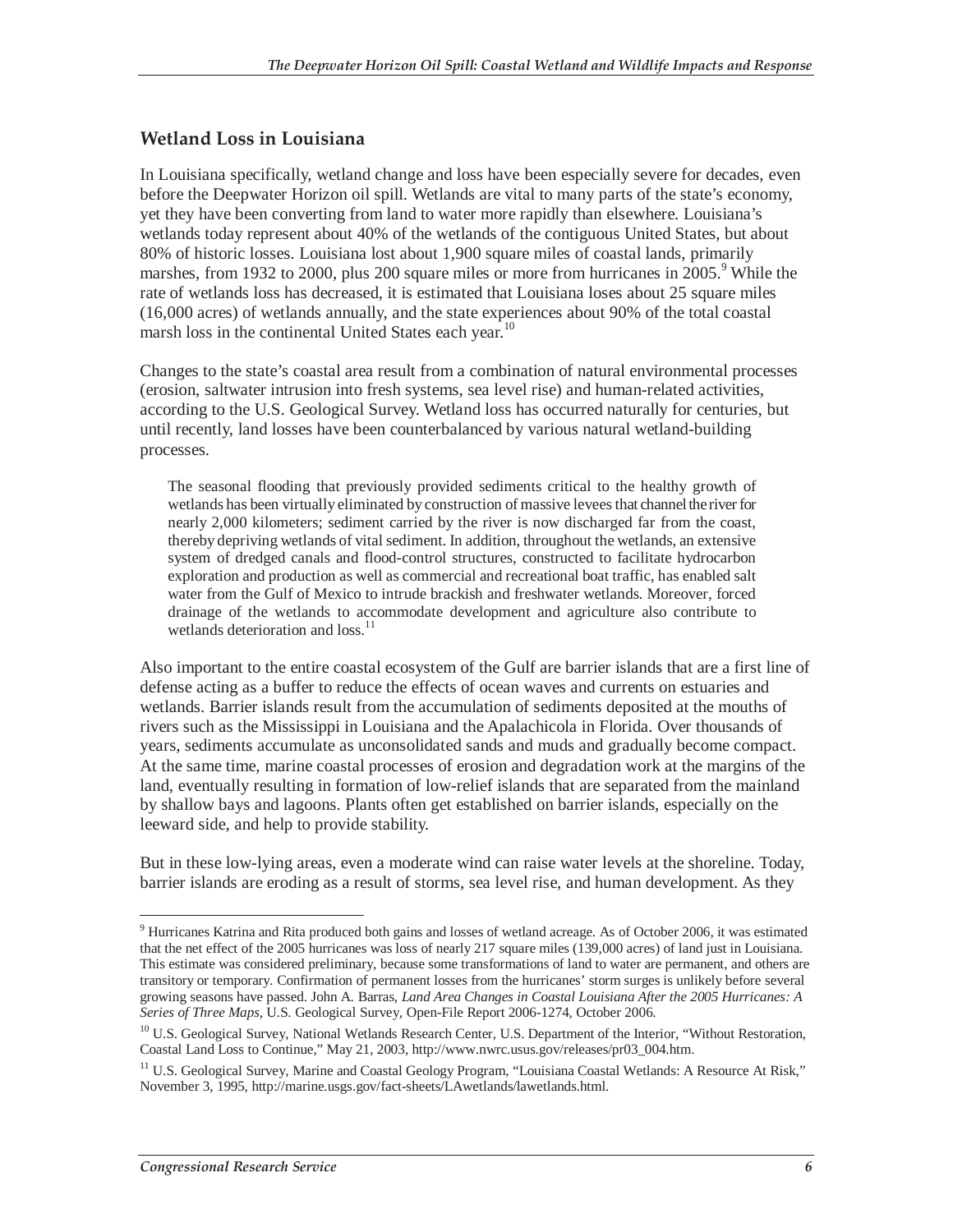#### **Wetland Loss in Louisiana**

In Louisiana specifically, wetland change and loss have been especially severe for decades, even before the Deepwater Horizon oil spill. Wetlands are vital to many parts of the state's economy, yet they have been converting from land to water more rapidly than elsewhere. Louisiana's wetlands today represent about 40% of the wetlands of the contiguous United States, but about 80% of historic losses. Louisiana lost about 1,900 square miles of coastal lands, primarily marshes, from 1932 to 2000, plus 200 square miles or more from hurricanes in 2005.<sup>9</sup> While the rate of wetlands loss has decreased, it is estimated that Louisiana loses about 25 square miles (16,000 acres) of wetlands annually, and the state experiences about 90% of the total coastal marsh loss in the continental United States each year.<sup>10</sup>

Changes to the state's coastal area result from a combination of natural environmental processes (erosion, saltwater intrusion into fresh systems, sea level rise) and human-related activities, according to the U.S. Geological Survey. Wetland loss has occurred naturally for centuries, but until recently, land losses have been counterbalanced by various natural wetland-building processes.

The seasonal flooding that previously provided sediments critical to the healthy growth of wetlands has been virtually eliminated by construction of massive levees that channel the river for nearly 2,000 kilometers; sediment carried by the river is now discharged far from the coast, thereby depriving wetlands of vital sediment. In addition, throughout the wetlands, an extensive system of dredged canals and flood-control structures, constructed to facilitate hydrocarbon exploration and production as well as commercial and recreational boat traffic, has enabled salt water from the Gulf of Mexico to intrude brackish and freshwater wetlands. Moreover, forced drainage of the wetlands to accommodate development and agriculture also contribute to wetlands deterioration and  $loss.<sup>11</sup>$ 

Also important to the entire coastal ecosystem of the Gulf are barrier islands that are a first line of defense acting as a buffer to reduce the effects of ocean waves and currents on estuaries and wetlands. Barrier islands result from the accumulation of sediments deposited at the mouths of rivers such as the Mississippi in Louisiana and the Apalachicola in Florida. Over thousands of years, sediments accumulate as unconsolidated sands and muds and gradually become compact. At the same time, marine coastal processes of erosion and degradation work at the margins of the land, eventually resulting in formation of low-relief islands that are separated from the mainland by shallow bays and lagoons. Plants often get established on barrier islands, especially on the leeward side, and help to provide stability.

But in these low-lying areas, even a moderate wind can raise water levels at the shoreline. Today, barrier islands are eroding as a result of storms, sea level rise, and human development. As they

 $\overline{a}$ <sup>9</sup> Hurricanes Katrina and Rita produced both gains and losses of wetland acreage. As of October 2006, it was estimated that the net effect of the 2005 hurricanes was loss of nearly 217 square miles (139,000 acres) of land just in Louisiana. This estimate was considered preliminary, because some transformations of land to water are permanent, and others are transitory or temporary. Confirmation of permanent losses from the hurricanes' storm surges is unlikely before several growing seasons have passed. John A. Barras, *Land Area Changes in Coastal Louisiana After the 2005 Hurricanes: A Series of Three Maps*, U.S. Geological Survey, Open-File Report 2006-1274, October 2006.

<sup>&</sup>lt;sup>10</sup> U.S. Geological Survey, National Wetlands Research Center, U.S. Department of the Interior, "Without Restoration, Coastal Land Loss to Continue," May 21, 2003, http://www.nwrc.usus.gov/releases/pr03\_004.htm.

<sup>&</sup>lt;sup>11</sup> U.S. Geological Survey, Marine and Coastal Geology Program, "Louisiana Coastal Wetlands: A Resource At Risk," November 3, 1995, http://marine.usgs.gov/fact-sheets/LAwetlands/lawetlands.html.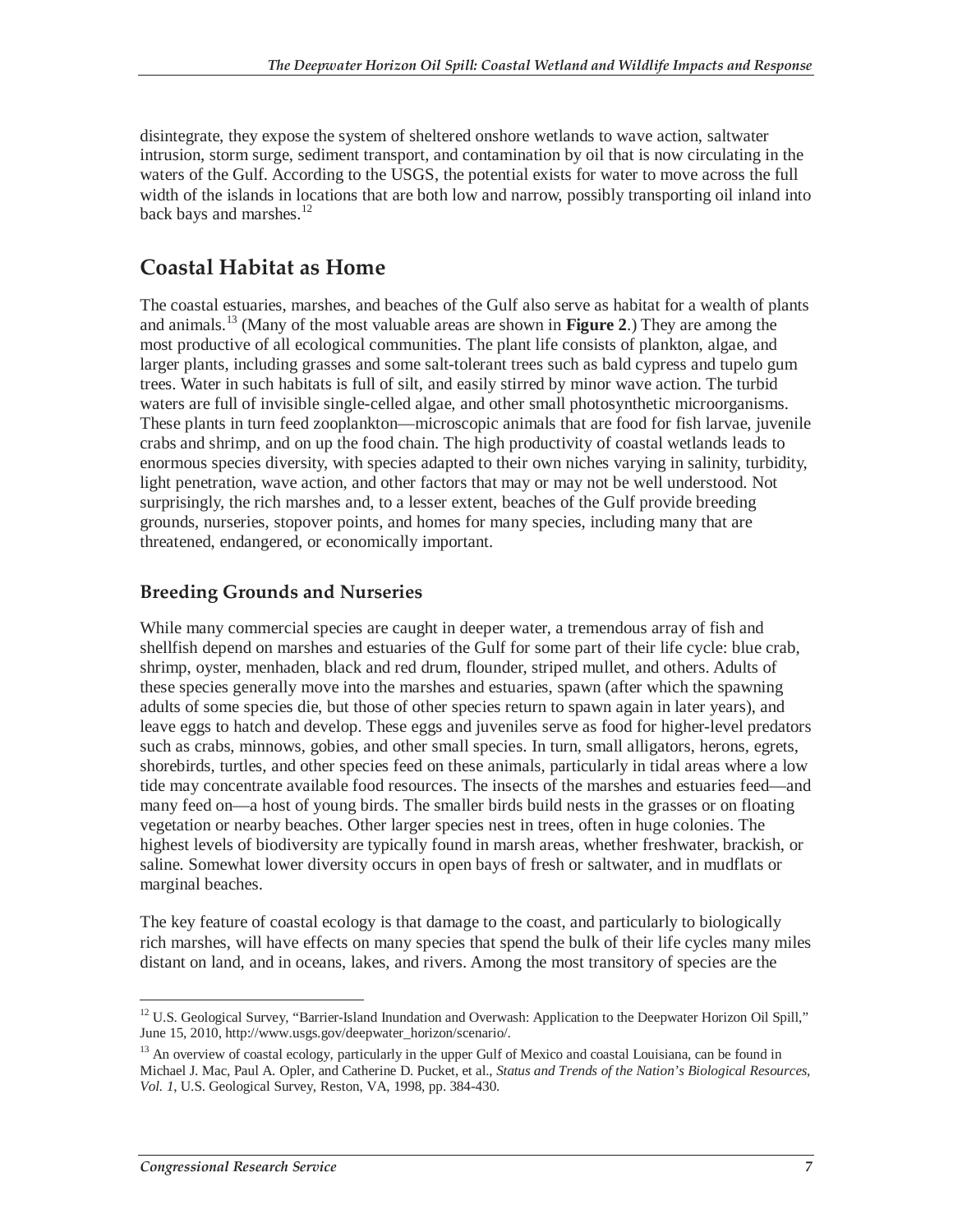disintegrate, they expose the system of sheltered onshore wetlands to wave action, saltwater intrusion, storm surge, sediment transport, and contamination by oil that is now circulating in the waters of the Gulf. According to the USGS, the potential exists for water to move across the full width of the islands in locations that are both low and narrow, possibly transporting oil inland into back bays and marshes.<sup>12</sup>

### **Coastal Habitat as Home**

The coastal estuaries, marshes, and beaches of the Gulf also serve as habitat for a wealth of plants and animals.13 (Many of the most valuable areas are shown in **Figure 2**.) They are among the most productive of all ecological communities. The plant life consists of plankton, algae, and larger plants, including grasses and some salt-tolerant trees such as bald cypress and tupelo gum trees. Water in such habitats is full of silt, and easily stirred by minor wave action. The turbid waters are full of invisible single-celled algae, and other small photosynthetic microorganisms. These plants in turn feed zooplankton—microscopic animals that are food for fish larvae, juvenile crabs and shrimp, and on up the food chain. The high productivity of coastal wetlands leads to enormous species diversity, with species adapted to their own niches varying in salinity, turbidity, light penetration, wave action, and other factors that may or may not be well understood. Not surprisingly, the rich marshes and, to a lesser extent, beaches of the Gulf provide breeding grounds, nurseries, stopover points, and homes for many species, including many that are threatened, endangered, or economically important.

#### **Breeding Grounds and Nurseries**

While many commercial species are caught in deeper water, a tremendous array of fish and shellfish depend on marshes and estuaries of the Gulf for some part of their life cycle: blue crab, shrimp, oyster, menhaden, black and red drum, flounder, striped mullet, and others. Adults of these species generally move into the marshes and estuaries, spawn (after which the spawning adults of some species die, but those of other species return to spawn again in later years), and leave eggs to hatch and develop. These eggs and juveniles serve as food for higher-level predators such as crabs, minnows, gobies, and other small species. In turn, small alligators, herons, egrets, shorebirds, turtles, and other species feed on these animals, particularly in tidal areas where a low tide may concentrate available food resources. The insects of the marshes and estuaries feed—and many feed on—a host of young birds. The smaller birds build nests in the grasses or on floating vegetation or nearby beaches. Other larger species nest in trees, often in huge colonies. The highest levels of biodiversity are typically found in marsh areas, whether freshwater, brackish, or saline. Somewhat lower diversity occurs in open bays of fresh or saltwater, and in mudflats or marginal beaches.

The key feature of coastal ecology is that damage to the coast, and particularly to biologically rich marshes, will have effects on many species that spend the bulk of their life cycles many miles distant on land, and in oceans, lakes, and rivers. Among the most transitory of species are the

 $\overline{a}$ <sup>12</sup> U.S. Geological Survey, "Barrier-Island Inundation and Overwash: Application to the Deepwater Horizon Oil Spill," June 15, 2010, http://www.usgs.gov/deepwater\_horizon/scenario/.

<sup>&</sup>lt;sup>13</sup> An overview of coastal ecology, particularly in the upper Gulf of Mexico and coastal Louisiana, can be found in Michael J. Mac, Paul A. Opler, and Catherine D. Pucket, et al., *Status and Trends of the Nation's Biological Resources, Vol. 1*, U.S. Geological Survey, Reston, VA, 1998, pp. 384-430.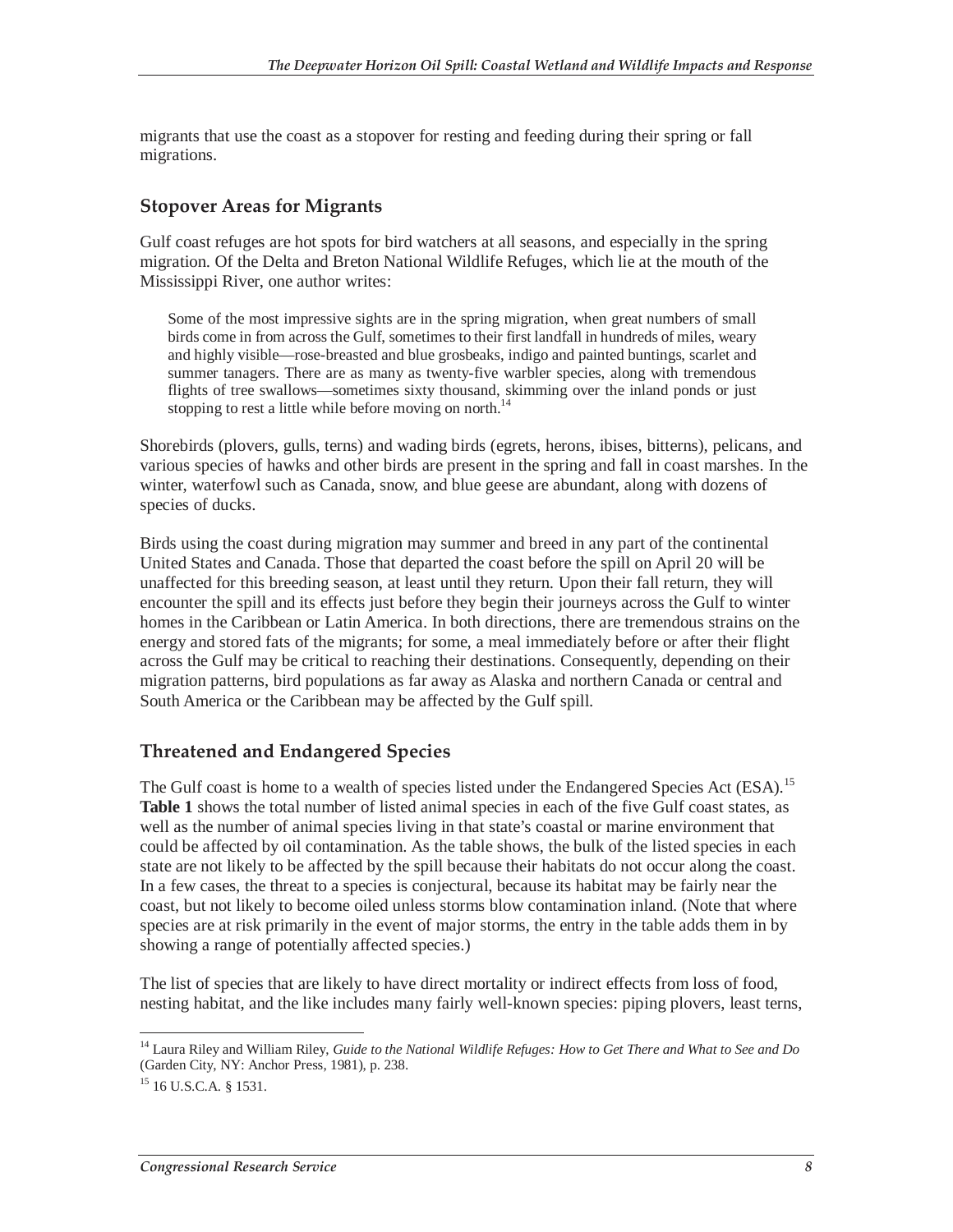migrants that use the coast as a stopover for resting and feeding during their spring or fall migrations.

#### **Stopover Areas for Migrants**

Gulf coast refuges are hot spots for bird watchers at all seasons, and especially in the spring migration. Of the Delta and Breton National Wildlife Refuges, which lie at the mouth of the Mississippi River, one author writes:

Some of the most impressive sights are in the spring migration, when great numbers of small birds come in from across the Gulf, sometimes to their first landfall in hundreds of miles, weary and highly visible—rose-breasted and blue grosbeaks, indigo and painted buntings, scarlet and summer tanagers. There are as many as twenty-five warbler species, along with tremendous flights of tree swallows—sometimes sixty thousand, skimming over the inland ponds or just stopping to rest a little while before moving on north.<sup>14</sup>

Shorebirds (plovers, gulls, terns) and wading birds (egrets, herons, ibises, bitterns), pelicans, and various species of hawks and other birds are present in the spring and fall in coast marshes. In the winter, waterfowl such as Canada, snow, and blue geese are abundant, along with dozens of species of ducks.

Birds using the coast during migration may summer and breed in any part of the continental United States and Canada. Those that departed the coast before the spill on April 20 will be unaffected for this breeding season, at least until they return. Upon their fall return, they will encounter the spill and its effects just before they begin their journeys across the Gulf to winter homes in the Caribbean or Latin America. In both directions, there are tremendous strains on the energy and stored fats of the migrants; for some, a meal immediately before or after their flight across the Gulf may be critical to reaching their destinations. Consequently, depending on their migration patterns, bird populations as far away as Alaska and northern Canada or central and South America or the Caribbean may be affected by the Gulf spill.

#### **Threatened and Endangered Species**

The Gulf coast is home to a wealth of species listed under the Endangered Species Act (ESA).<sup>15</sup> **Table 1** shows the total number of listed animal species in each of the five Gulf coast states, as well as the number of animal species living in that state's coastal or marine environment that could be affected by oil contamination. As the table shows, the bulk of the listed species in each state are not likely to be affected by the spill because their habitats do not occur along the coast. In a few cases, the threat to a species is conjectural, because its habitat may be fairly near the coast, but not likely to become oiled unless storms blow contamination inland. (Note that where species are at risk primarily in the event of major storms, the entry in the table adds them in by showing a range of potentially affected species.)

The list of species that are likely to have direct mortality or indirect effects from loss of food, nesting habitat, and the like includes many fairly well-known species: piping plovers, least terns,

<sup>-</sup>14 Laura Riley and William Riley, *Guide to the National Wildlife Refuges: How to Get There and What to See and Do* (Garden City, NY: Anchor Press, 1981), p. 238.

 $15$  16 U.S.C.A. § 1531.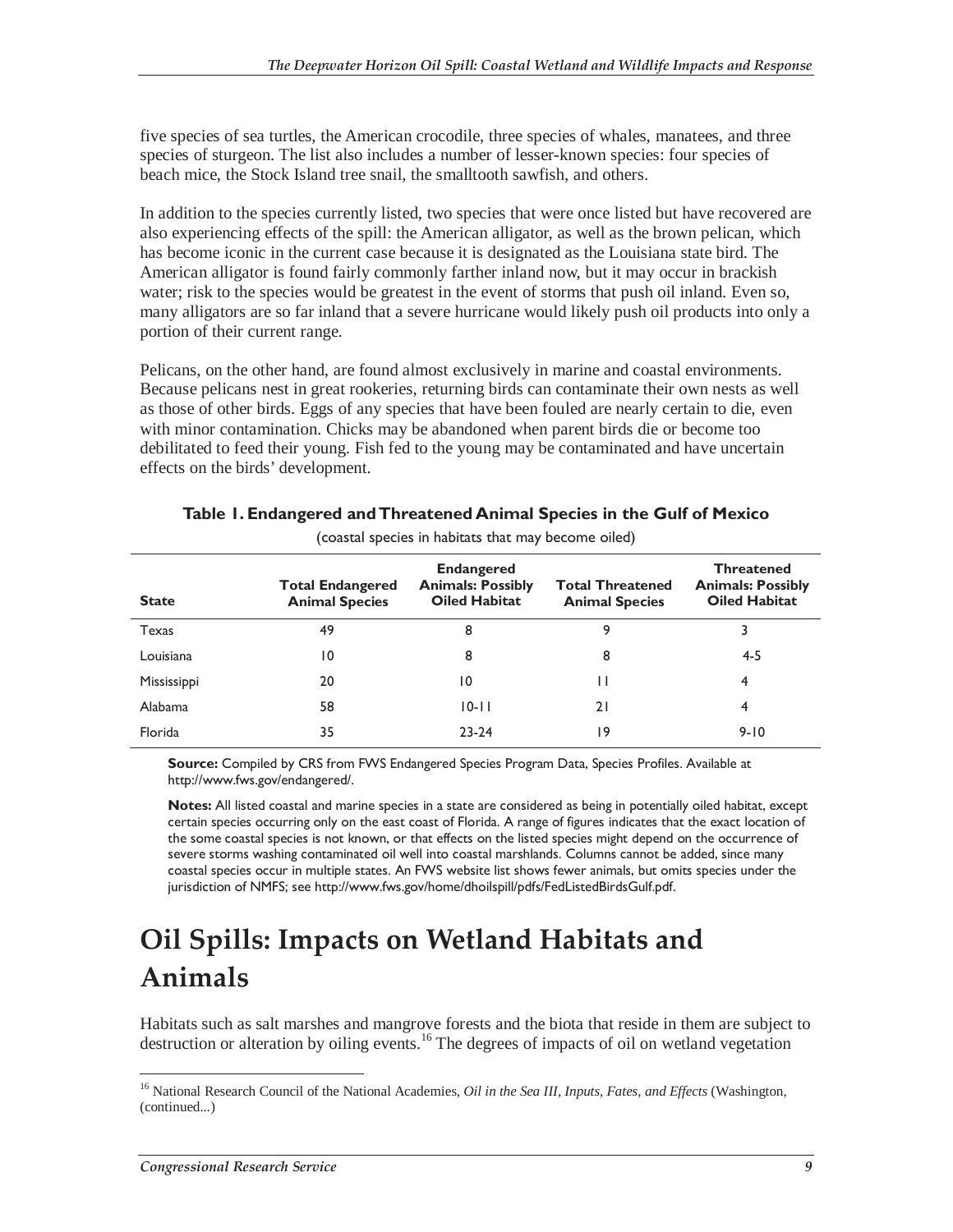five species of sea turtles, the American crocodile, three species of whales, manatees, and three species of sturgeon. The list also includes a number of lesser-known species: four species of beach mice, the Stock Island tree snail, the smalltooth sawfish, and others.

In addition to the species currently listed, two species that were once listed but have recovered are also experiencing effects of the spill: the American alligator, as well as the brown pelican, which has become iconic in the current case because it is designated as the Louisiana state bird. The American alligator is found fairly commonly farther inland now, but it may occur in brackish water; risk to the species would be greatest in the event of storms that push oil inland. Even so, many alligators are so far inland that a severe hurricane would likely push oil products into only a portion of their current range.

Pelicans, on the other hand, are found almost exclusively in marine and coastal environments. Because pelicans nest in great rookeries, returning birds can contaminate their own nests as well as those of other birds. Eggs of any species that have been fouled are nearly certain to die, even with minor contamination. Chicks may be abandoned when parent birds die or become too debilitated to feed their young. Fish fed to the young may be contaminated and have uncertain effects on the birds' development.

| <b>State</b>   | <b>Total Endangered</b><br><b>Animal Species</b> | <b>Endangered</b><br><b>Animals: Possibly</b><br><b>Oiled Habitat</b> | <b>Total Threatened</b><br><b>Animal Species</b> | <b>Threatened</b><br><b>Animals: Possibly</b><br><b>Oiled Habitat</b> |
|----------------|--------------------------------------------------|-----------------------------------------------------------------------|--------------------------------------------------|-----------------------------------------------------------------------|
| Texas          | 49                                               | 8                                                                     | 9                                                |                                                                       |
| Louisiana      | 10                                               | 8                                                                     | 8                                                | 4-5                                                                   |
| Mississippi    | 20                                               | 10                                                                    |                                                  | 4                                                                     |
| <b>Alabama</b> | 58                                               | $10 - 11$                                                             | 21                                               | 4                                                                     |
| Florida        | 35                                               | $23 - 24$                                                             | 19                                               | $9 - 10$                                                              |

#### **Table 1. Endangered and Threatened Animal Species in the Gulf of Mexico**  (coastal species in habitats that may become oiled)

**Source:** Compiled by CRS from FWS Endangered Species Program Data, Species Profiles. Available at http://www.fws.gov/endangered/.

**Notes:** All listed coastal and marine species in a state are considered as being in potentially oiled habitat, except certain species occurring only on the east coast of Florida. A range of figures indicates that the exact location of the some coastal species is not known, or that effects on the listed species might depend on the occurrence of severe storms washing contaminated oil well into coastal marshlands. Columns cannot be added, since many coastal species occur in multiple states. An FWS website list shows fewer animals, but omits species under the jurisdiction of NMFS; see http://www.fws.gov/home/dhoilspill/pdfs/FedListedBirdsGulf.pdf.

## **Oil Spills: Impacts on Wetland Habitats and Animals**

Habitats such as salt marshes and mangrove forests and the biota that reside in them are subject to destruction or alteration by oiling events.<sup>16</sup> The degrees of impacts of oil on wetland vegetation

<sup>-</sup>16 National Research Council of the National Academies, *Oil in the Sea III, Inputs, Fates, and Effects* (Washington, (continued...)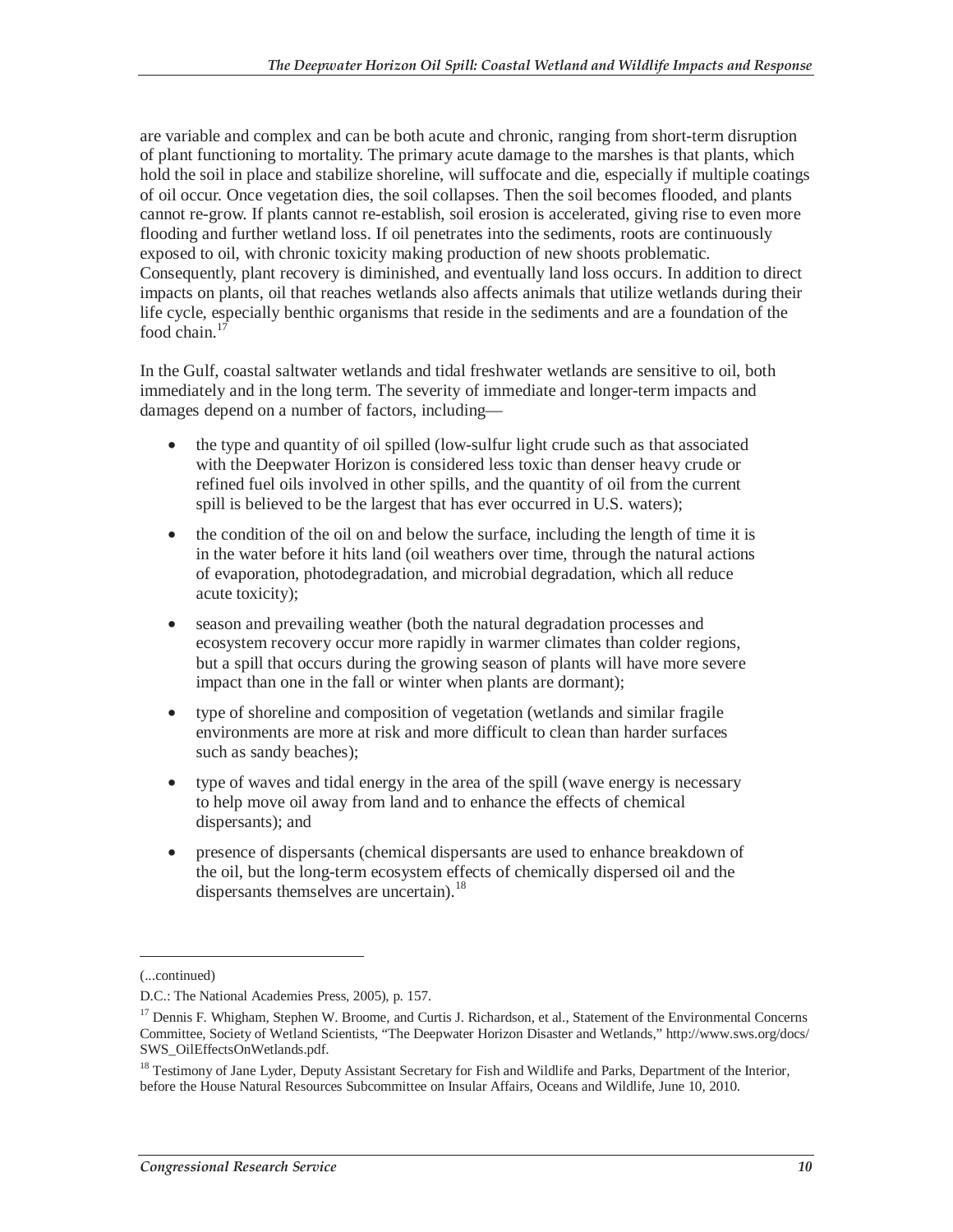are variable and complex and can be both acute and chronic, ranging from short-term disruption of plant functioning to mortality. The primary acute damage to the marshes is that plants, which hold the soil in place and stabilize shoreline, will suffocate and die, especially if multiple coatings of oil occur. Once vegetation dies, the soil collapses. Then the soil becomes flooded, and plants cannot re-grow. If plants cannot re-establish, soil erosion is accelerated, giving rise to even more flooding and further wetland loss. If oil penetrates into the sediments, roots are continuously exposed to oil, with chronic toxicity making production of new shoots problematic. Consequently, plant recovery is diminished, and eventually land loss occurs. In addition to direct impacts on plants, oil that reaches wetlands also affects animals that utilize wetlands during their life cycle, especially benthic organisms that reside in the sediments and are a foundation of the food chain.<sup>1</sup>

In the Gulf, coastal saltwater wetlands and tidal freshwater wetlands are sensitive to oil, both immediately and in the long term. The severity of immediate and longer-term impacts and damages depend on a number of factors, including—

- the type and quantity of oil spilled (low-sulfur light crude such as that associated with the Deepwater Horizon is considered less toxic than denser heavy crude or refined fuel oils involved in other spills, and the quantity of oil from the current spill is believed to be the largest that has ever occurred in U.S. waters);
- the condition of the oil on and below the surface, including the length of time it is in the water before it hits land (oil weathers over time, through the natural actions of evaporation, photodegradation, and microbial degradation, which all reduce acute toxicity);
- season and prevailing weather (both the natural degradation processes and ecosystem recovery occur more rapidly in warmer climates than colder regions, but a spill that occurs during the growing season of plants will have more severe impact than one in the fall or winter when plants are dormant);
- type of shoreline and composition of vegetation (wetlands and similar fragile environments are more at risk and more difficult to clean than harder surfaces such as sandy beaches);
- type of waves and tidal energy in the area of the spill (wave energy is necessary to help move oil away from land and to enhance the effects of chemical dispersants); and
- presence of dispersants (chemical dispersants are used to enhance breakdown of the oil, but the long-term ecosystem effects of chemically dispersed oil and the dispersants themselves are uncertain).<sup>18</sup>

-

<sup>(...</sup>continued)

D.C.: The National Academies Press, 2005), p. 157.

<sup>&</sup>lt;sup>17</sup> Dennis F. Whigham, Stephen W. Broome, and Curtis J. Richardson, et al., Statement of the Environmental Concerns Committee, Society of Wetland Scientists, "The Deepwater Horizon Disaster and Wetlands," http://www.sws.org/docs/ SWS\_OilEffectsOnWetlands.pdf.

<sup>&</sup>lt;sup>18</sup> Testimony of Jane Lyder, Deputy Assistant Secretary for Fish and Wildlife and Parks, Department of the Interior, before the House Natural Resources Subcommittee on Insular Affairs, Oceans and Wildlife, June 10, 2010.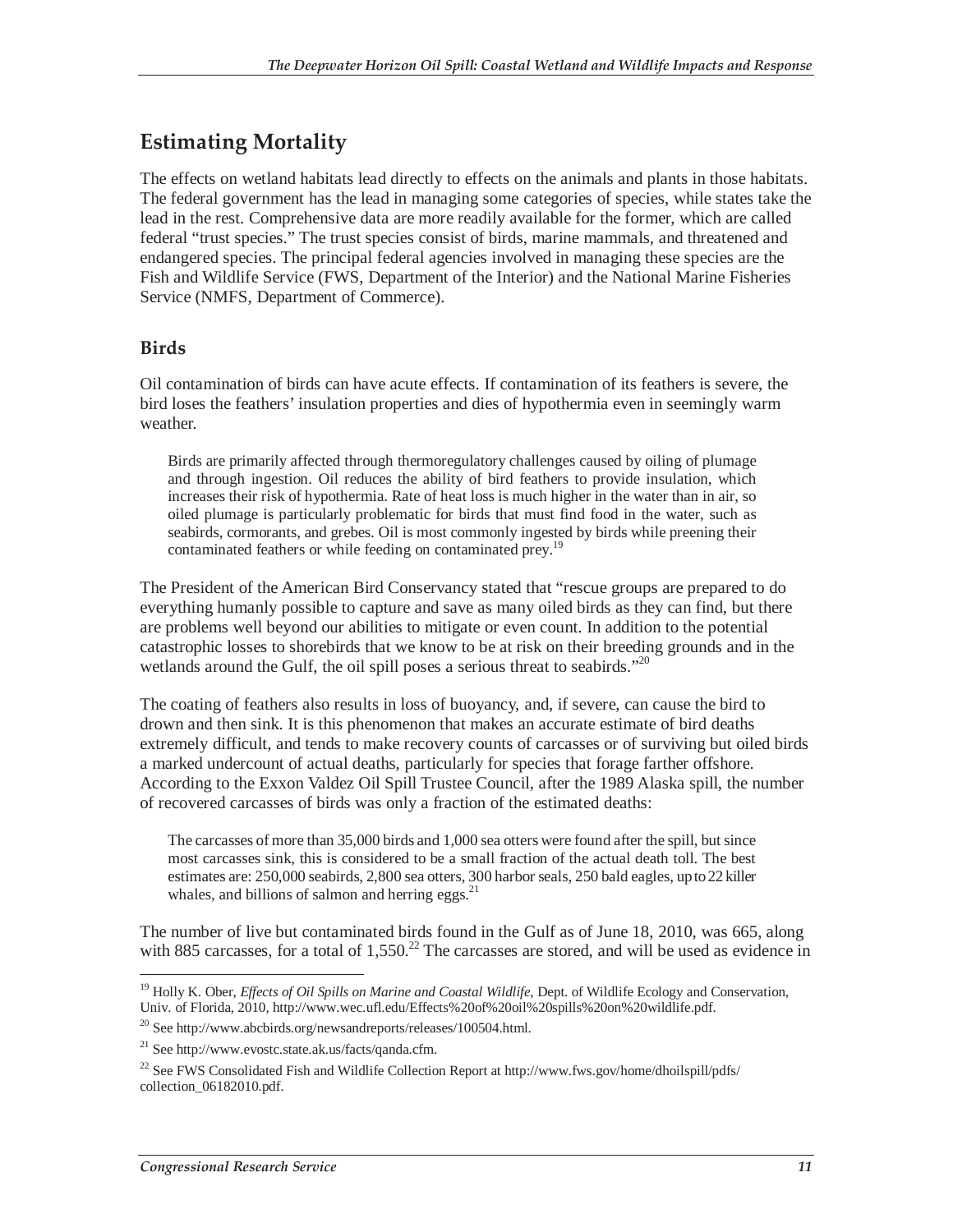### **Estimating Mortality**

The effects on wetland habitats lead directly to effects on the animals and plants in those habitats. The federal government has the lead in managing some categories of species, while states take the lead in the rest. Comprehensive data are more readily available for the former, which are called federal "trust species." The trust species consist of birds, marine mammals, and threatened and endangered species. The principal federal agencies involved in managing these species are the Fish and Wildlife Service (FWS, Department of the Interior) and the National Marine Fisheries Service (NMFS, Department of Commerce).

#### **Birds**

Oil contamination of birds can have acute effects. If contamination of its feathers is severe, the bird loses the feathers' insulation properties and dies of hypothermia even in seemingly warm weather.

Birds are primarily affected through thermoregulatory challenges caused by oiling of plumage and through ingestion. Oil reduces the ability of bird feathers to provide insulation, which increases their risk of hypothermia. Rate of heat loss is much higher in the water than in air, so oiled plumage is particularly problematic for birds that must find food in the water, such as seabirds, cormorants, and grebes. Oil is most commonly ingested by birds while preening their contaminated feathers or while feeding on contaminated prey.<sup>19</sup>

The President of the American Bird Conservancy stated that "rescue groups are prepared to do everything humanly possible to capture and save as many oiled birds as they can find, but there are problems well beyond our abilities to mitigate or even count. In addition to the potential catastrophic losses to shorebirds that we know to be at risk on their breeding grounds and in the wetlands around the Gulf, the oil spill poses a serious threat to seabirds."<sup>20</sup>

The coating of feathers also results in loss of buoyancy, and, if severe, can cause the bird to drown and then sink. It is this phenomenon that makes an accurate estimate of bird deaths extremely difficult, and tends to make recovery counts of carcasses or of surviving but oiled birds a marked undercount of actual deaths, particularly for species that forage farther offshore. According to the Exxon Valdez Oil Spill Trustee Council, after the 1989 Alaska spill, the number of recovered carcasses of birds was only a fraction of the estimated deaths:

The carcasses of more than 35,000 birds and 1,000 sea otters were found after the spill, but since most carcasses sink, this is considered to be a small fraction of the actual death toll. The best estimates are: 250,000 seabirds, 2,800 sea otters, 300 harbor seals, 250 bald eagles, up to 22 killer whales, and billions of salmon and herring eggs. $^{21}$ 

The number of live but contaminated birds found in the Gulf as of June 18, 2010, was 665, along with 885 carcasses, for a total of  $1,550<sup>22</sup>$  The carcasses are stored, and will be used as evidence in

<sup>-</sup><sup>19</sup> Holly K. Ober, *Effects of Oil Spills on Marine and Coastal Wildlife*, Dept. of Wildlife Ecology and Conservation, Univ. of Florida, 2010, http://www.wec.ufl.edu/Effects%20of%20oil%20spills%20on%20wildlife.pdf.

 $^{20}$  See http://www.abcbirds.org/newsandreports/releases/100504.html.

 $^{21}$  See http://www.evostc.state.ak.us/facts/qanda.cfm.

<sup>&</sup>lt;sup>22</sup> See FWS Consolidated Fish and Wildlife Collection Report at http://www.fws.gov/home/dhoilspill/pdfs/ collection\_06182010.pdf.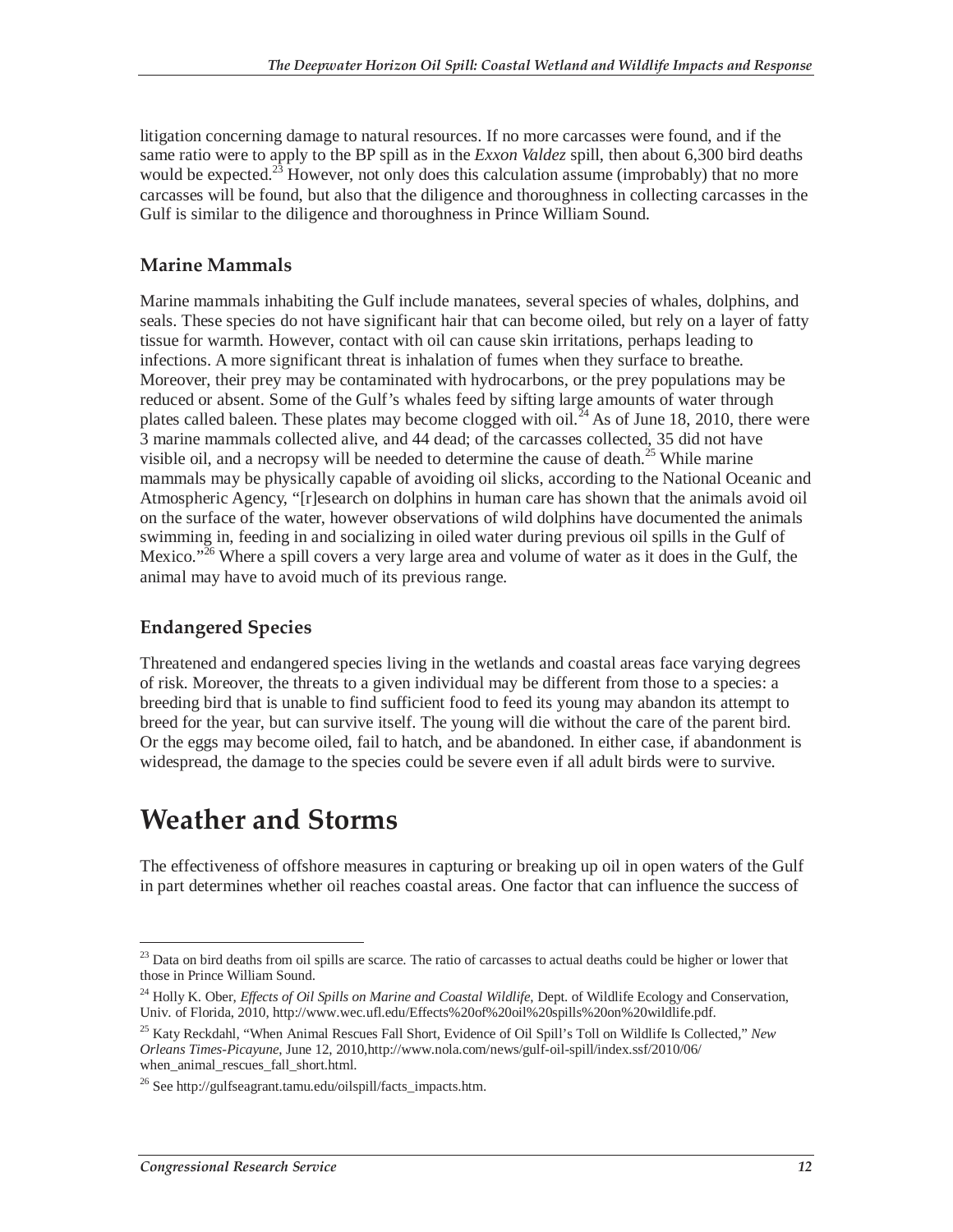litigation concerning damage to natural resources. If no more carcasses were found, and if the same ratio were to apply to the BP spill as in the *Exxon Valdez* spill, then about 6,300 bird deaths would be expected.<sup>23</sup> However, not only does this calculation assume (improbably) that no more carcasses will be found, but also that the diligence and thoroughness in collecting carcasses in the Gulf is similar to the diligence and thoroughness in Prince William Sound.

#### **Marine Mammals**

Marine mammals inhabiting the Gulf include manatees, several species of whales, dolphins, and seals. These species do not have significant hair that can become oiled, but rely on a layer of fatty tissue for warmth. However, contact with oil can cause skin irritations, perhaps leading to infections. A more significant threat is inhalation of fumes when they surface to breathe. Moreover, their prey may be contaminated with hydrocarbons, or the prey populations may be reduced or absent. Some of the Gulf's whales feed by sifting large amounts of water through plates called baleen. These plates may become clogged with oil.<sup>24</sup> As of June 18, 2010, there were 3 marine mammals collected alive, and 44 dead; of the carcasses collected, 35 did not have visible oil, and a necropsy will be needed to determine the cause of death.<sup>25</sup> While marine mammals may be physically capable of avoiding oil slicks, according to the National Oceanic and Atmospheric Agency, "[r]esearch on dolphins in human care has shown that the animals avoid oil on the surface of the water, however observations of wild dolphins have documented the animals swimming in, feeding in and socializing in oiled water during previous oil spills in the Gulf of Mexico."<sup>26</sup> Where a spill covers a very large area and volume of water as it does in the Gulf, the animal may have to avoid much of its previous range.

#### **Endangered Species**

Threatened and endangered species living in the wetlands and coastal areas face varying degrees of risk. Moreover, the threats to a given individual may be different from those to a species: a breeding bird that is unable to find sufficient food to feed its young may abandon its attempt to breed for the year, but can survive itself. The young will die without the care of the parent bird. Or the eggs may become oiled, fail to hatch, and be abandoned. In either case, if abandonment is widespread, the damage to the species could be severe even if all adult birds were to survive.

## **Weather and Storms**

The effectiveness of offshore measures in capturing or breaking up oil in open waters of the Gulf in part determines whether oil reaches coastal areas. One factor that can influence the success of

<sup>-</sup><sup>23</sup> Data on bird deaths from oil spills are scarce. The ratio of carcasses to actual deaths could be higher or lower that those in Prince William Sound.

<sup>24</sup> Holly K. Ober, *Effects of Oil Spills on Marine and Coastal Wildlife*, Dept. of Wildlife Ecology and Conservation, Univ. of Florida, 2010, http://www.wec.ufl.edu/Effects%20of%20oil%20spills%20on%20wildlife.pdf.

<sup>25</sup> Katy Reckdahl, "When Animal Rescues Fall Short, Evidence of Oil Spill's Toll on Wildlife Is Collected," *New Orleans Times-Picayune*, June 12, 2010,http://www.nola.com/news/gulf-oil-spill/index.ssf/2010/06/ when animal rescues fall short.html.

 $^{26}$  See http://gulfseagrant.tamu.edu/oilspill/facts\_impacts.htm.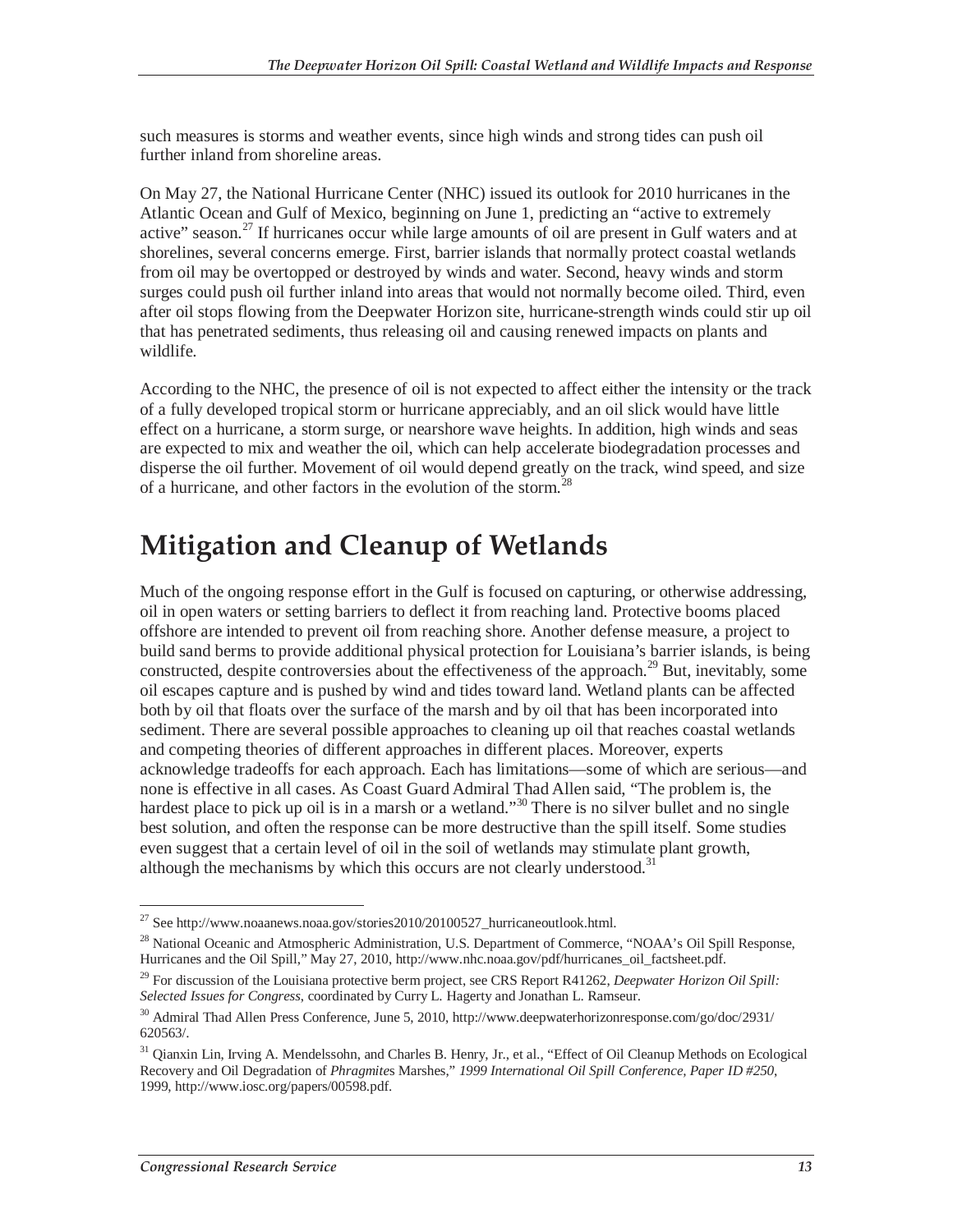such measures is storms and weather events, since high winds and strong tides can push oil further inland from shoreline areas.

On May 27, the National Hurricane Center (NHC) issued its outlook for 2010 hurricanes in the Atlantic Ocean and Gulf of Mexico, beginning on June 1, predicting an "active to extremely active" season.<sup>27</sup> If hurricanes occur while large amounts of oil are present in Gulf waters and at shorelines, several concerns emerge. First, barrier islands that normally protect coastal wetlands from oil may be overtopped or destroyed by winds and water. Second, heavy winds and storm surges could push oil further inland into areas that would not normally become oiled. Third, even after oil stops flowing from the Deepwater Horizon site, hurricane-strength winds could stir up oil that has penetrated sediments, thus releasing oil and causing renewed impacts on plants and wildlife.

According to the NHC, the presence of oil is not expected to affect either the intensity or the track of a fully developed tropical storm or hurricane appreciably, and an oil slick would have little effect on a hurricane, a storm surge, or nearshore wave heights. In addition, high winds and seas are expected to mix and weather the oil, which can help accelerate biodegradation processes and disperse the oil further. Movement of oil would depend greatly on the track, wind speed, and size of a hurricane, and other factors in the evolution of the storm.<sup>28</sup>

## **Mitigation and Cleanup of Wetlands**

Much of the ongoing response effort in the Gulf is focused on capturing, or otherwise addressing, oil in open waters or setting barriers to deflect it from reaching land. Protective booms placed offshore are intended to prevent oil from reaching shore. Another defense measure, a project to build sand berms to provide additional physical protection for Louisiana's barrier islands, is being constructed, despite controversies about the effectiveness of the approach.<sup>29</sup> But, inevitably, some oil escapes capture and is pushed by wind and tides toward land. Wetland plants can be affected both by oil that floats over the surface of the marsh and by oil that has been incorporated into sediment. There are several possible approaches to cleaning up oil that reaches coastal wetlands and competing theories of different approaches in different places. Moreover, experts acknowledge tradeoffs for each approach. Each has limitations—some of which are serious—and none is effective in all cases. As Coast Guard Admiral Thad Allen said, "The problem is, the hardest place to pick up oil is in a marsh or a wetland."<sup>30</sup> There is no silver bullet and no single best solution, and often the response can be more destructive than the spill itself. Some studies even suggest that a certain level of oil in the soil of wetlands may stimulate plant growth, although the mechanisms by which this occurs are not clearly understood.<sup>31</sup>

 $\overline{a}$ <sup>27</sup> See http://www.noaanews.noaa.gov/stories2010/20100527\_hurricaneoutlook.html.

<sup>&</sup>lt;sup>28</sup> National Oceanic and Atmospheric Administration, U.S. Department of Commerce, "NOAA's Oil Spill Response, Hurricanes and the Oil Spill," May 27, 2010, http://www.nhc.noaa.gov/pdf/hurricanes\_oil\_factsheet.pdf.

<sup>29</sup> For discussion of the Louisiana protective berm project, see CRS Report R41262, *Deepwater Horizon Oil Spill: Selected Issues for Congress*, coordinated by Curry L. Hagerty and Jonathan L. Ramseur.

<sup>30</sup> Admiral Thad Allen Press Conference, June 5, 2010, http://www.deepwaterhorizonresponse.com/go/doc/2931/ 620563/.

<sup>&</sup>lt;sup>31</sup> Qianxin Lin, Irving A. Mendelssohn, and Charles B. Henry, Jr., et al., "Effect of Oil Cleanup Methods on Ecological Recovery and Oil Degradation of *Phragmite*s Marshes," *1999 International Oil Spill Conference, Paper ID #250*, 1999, http://www.iosc.org/papers/00598.pdf.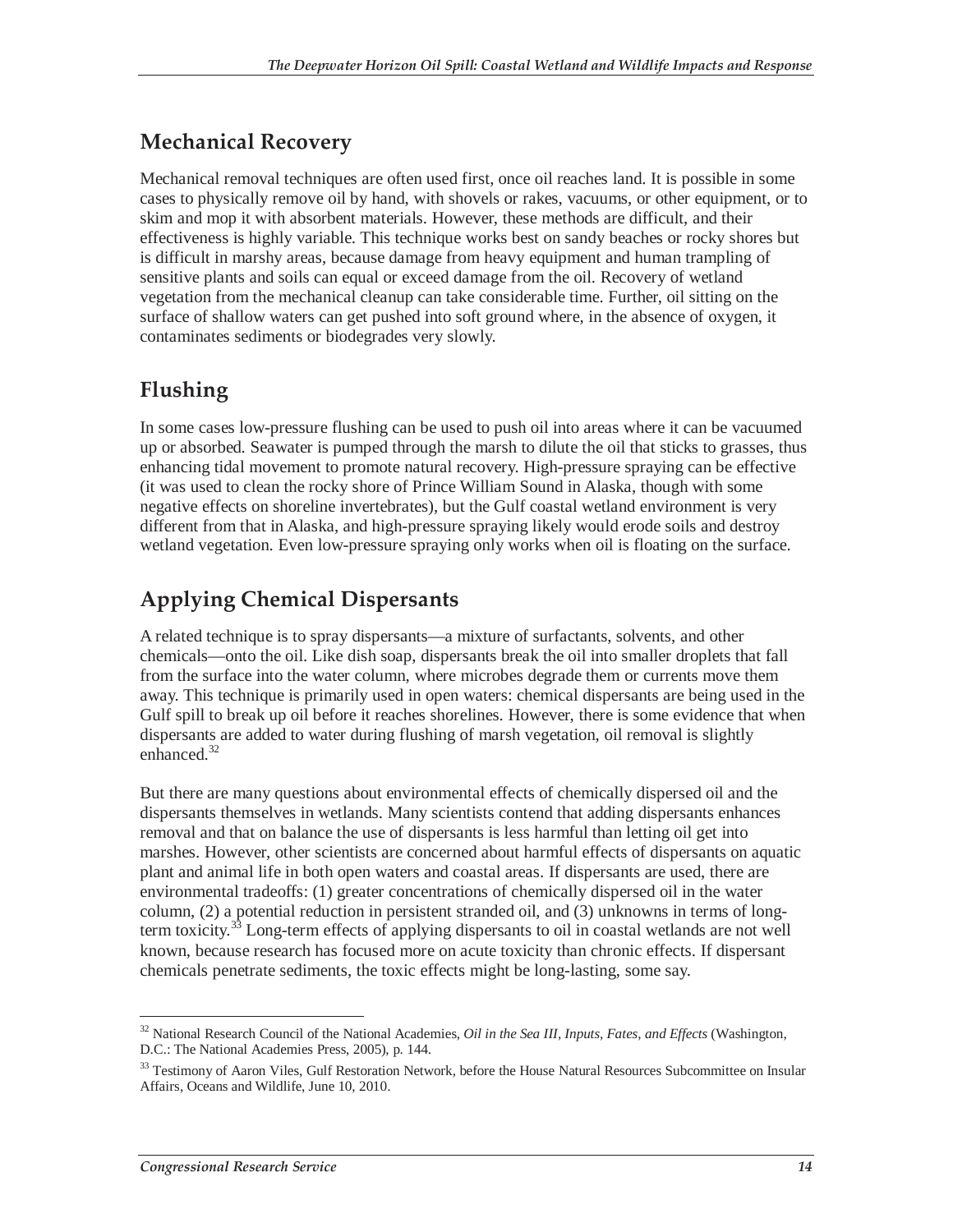### **Mechanical Recovery**

Mechanical removal techniques are often used first, once oil reaches land. It is possible in some cases to physically remove oil by hand, with shovels or rakes, vacuums, or other equipment, or to skim and mop it with absorbent materials. However, these methods are difficult, and their effectiveness is highly variable. This technique works best on sandy beaches or rocky shores but is difficult in marshy areas, because damage from heavy equipment and human trampling of sensitive plants and soils can equal or exceed damage from the oil. Recovery of wetland vegetation from the mechanical cleanup can take considerable time. Further, oil sitting on the surface of shallow waters can get pushed into soft ground where, in the absence of oxygen, it contaminates sediments or biodegrades very slowly.

## **Flushing**

In some cases low-pressure flushing can be used to push oil into areas where it can be vacuumed up or absorbed. Seawater is pumped through the marsh to dilute the oil that sticks to grasses, thus enhancing tidal movement to promote natural recovery. High-pressure spraying can be effective (it was used to clean the rocky shore of Prince William Sound in Alaska, though with some negative effects on shoreline invertebrates), but the Gulf coastal wetland environment is very different from that in Alaska, and high-pressure spraying likely would erode soils and destroy wetland vegetation. Even low-pressure spraying only works when oil is floating on the surface.

## **Applying Chemical Dispersants**

A related technique is to spray dispersants—a mixture of surfactants, solvents, and other chemicals—onto the oil. Like dish soap, dispersants break the oil into smaller droplets that fall from the surface into the water column, where microbes degrade them or currents move them away. This technique is primarily used in open waters: chemical dispersants are being used in the Gulf spill to break up oil before it reaches shorelines. However, there is some evidence that when dispersants are added to water during flushing of marsh vegetation, oil removal is slightly enhanced.<sup>32</sup>

But there are many questions about environmental effects of chemically dispersed oil and the dispersants themselves in wetlands. Many scientists contend that adding dispersants enhances removal and that on balance the use of dispersants is less harmful than letting oil get into marshes. However, other scientists are concerned about harmful effects of dispersants on aquatic plant and animal life in both open waters and coastal areas. If dispersants are used, there are environmental tradeoffs: (1) greater concentrations of chemically dispersed oil in the water column, (2) a potential reduction in persistent stranded oil, and (3) unknowns in terms of longterm toxicity.<sup>33</sup> Long-term effects of applying dispersants to oil in coastal wetlands are not well known, because research has focused more on acute toxicity than chronic effects. If dispersant chemicals penetrate sediments, the toxic effects might be long-lasting, some say.

<sup>-</sup>32 National Research Council of the National Academies, *Oil in the Sea III, Inputs, Fates, and Effects* (Washington, D.C.: The National Academies Press, 2005), p. 144.

<sup>&</sup>lt;sup>33</sup> Testimony of Aaron Viles, Gulf Restoration Network, before the House Natural Resources Subcommittee on Insular Affairs, Oceans and Wildlife, June 10, 2010.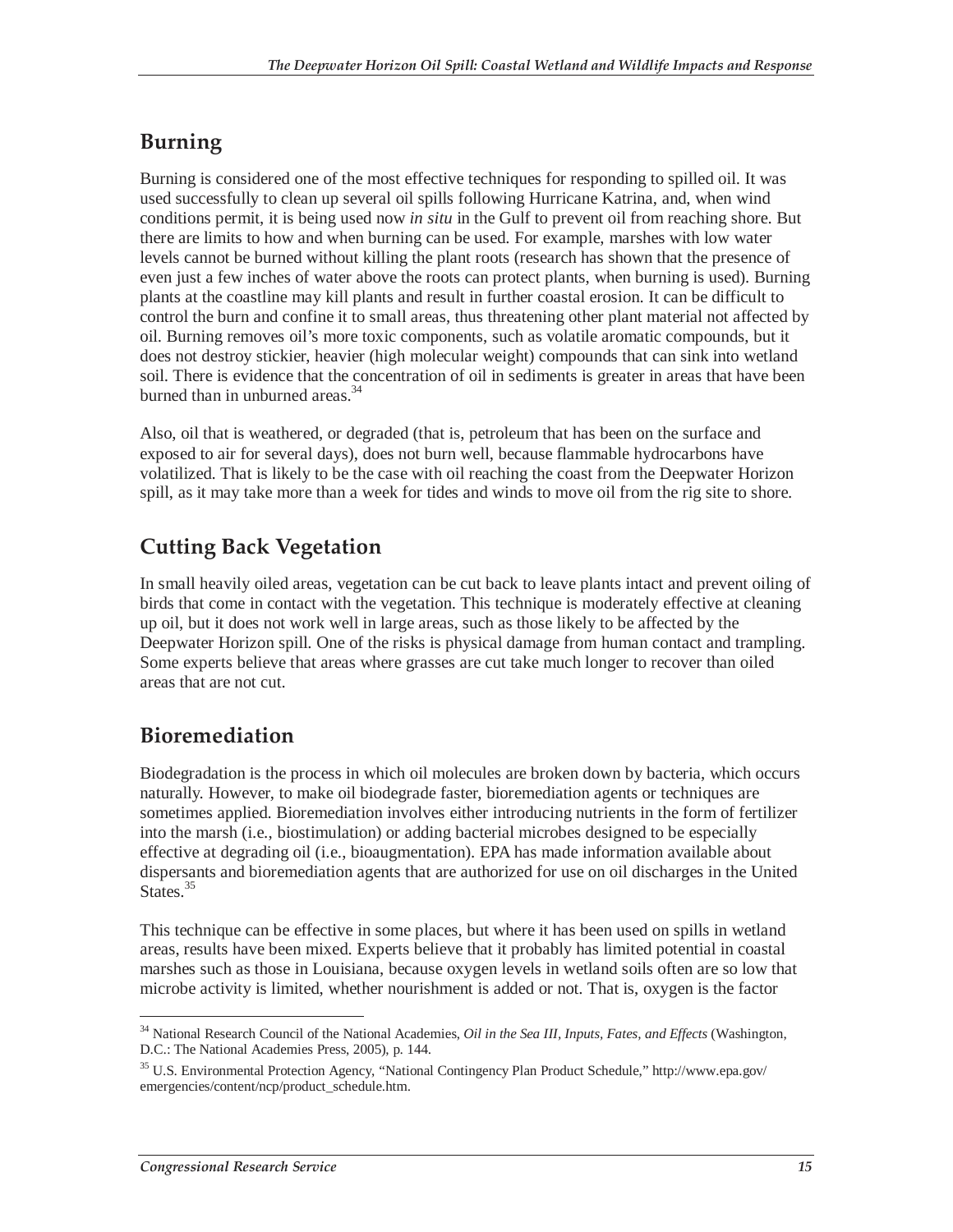## **Burning**

Burning is considered one of the most effective techniques for responding to spilled oil. It was used successfully to clean up several oil spills following Hurricane Katrina, and, when wind conditions permit, it is being used now *in situ* in the Gulf to prevent oil from reaching shore. But there are limits to how and when burning can be used. For example, marshes with low water levels cannot be burned without killing the plant roots (research has shown that the presence of even just a few inches of water above the roots can protect plants, when burning is used). Burning plants at the coastline may kill plants and result in further coastal erosion. It can be difficult to control the burn and confine it to small areas, thus threatening other plant material not affected by oil. Burning removes oil's more toxic components, such as volatile aromatic compounds, but it does not destroy stickier, heavier (high molecular weight) compounds that can sink into wetland soil. There is evidence that the concentration of oil in sediments is greater in areas that have been burned than in unburned areas.<sup>34</sup>

Also, oil that is weathered, or degraded (that is, petroleum that has been on the surface and exposed to air for several days), does not burn well, because flammable hydrocarbons have volatilized. That is likely to be the case with oil reaching the coast from the Deepwater Horizon spill, as it may take more than a week for tides and winds to move oil from the rig site to shore.

## **Cutting Back Vegetation**

In small heavily oiled areas, vegetation can be cut back to leave plants intact and prevent oiling of birds that come in contact with the vegetation. This technique is moderately effective at cleaning up oil, but it does not work well in large areas, such as those likely to be affected by the Deepwater Horizon spill. One of the risks is physical damage from human contact and trampling. Some experts believe that areas where grasses are cut take much longer to recover than oiled areas that are not cut.

## **Bioremediation**

Biodegradation is the process in which oil molecules are broken down by bacteria, which occurs naturally. However, to make oil biodegrade faster, bioremediation agents or techniques are sometimes applied. Bioremediation involves either introducing nutrients in the form of fertilizer into the marsh (i.e., biostimulation) or adding bacterial microbes designed to be especially effective at degrading oil (i.e., bioaugmentation). EPA has made information available about dispersants and bioremediation agents that are authorized for use on oil discharges in the United States.<sup>35</sup>

This technique can be effective in some places, but where it has been used on spills in wetland areas, results have been mixed. Experts believe that it probably has limited potential in coastal marshes such as those in Louisiana, because oxygen levels in wetland soils often are so low that microbe activity is limited, whether nourishment is added or not. That is, oxygen is the factor

<sup>-</sup>34 National Research Council of the National Academies, *Oil in the Sea III, Inputs, Fates, and Effects* (Washington, D.C.: The National Academies Press, 2005), p. 144.

<sup>35</sup> U.S. Environmental Protection Agency, "National Contingency Plan Product Schedule," http://www.epa.gov/ emergencies/content/ncp/product\_schedule.htm.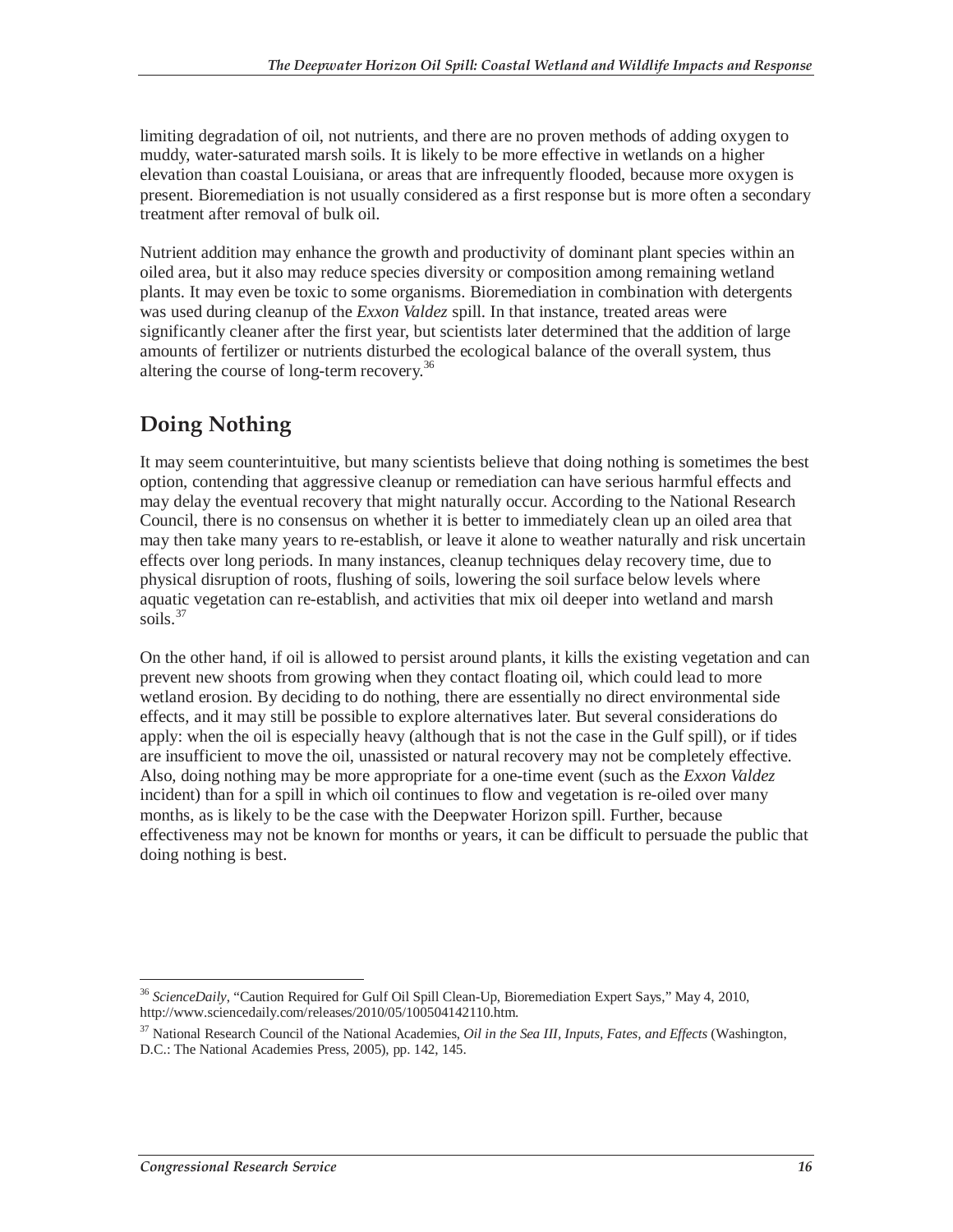limiting degradation of oil, not nutrients, and there are no proven methods of adding oxygen to muddy, water-saturated marsh soils. It is likely to be more effective in wetlands on a higher elevation than coastal Louisiana, or areas that are infrequently flooded, because more oxygen is present. Bioremediation is not usually considered as a first response but is more often a secondary treatment after removal of bulk oil.

Nutrient addition may enhance the growth and productivity of dominant plant species within an oiled area, but it also may reduce species diversity or composition among remaining wetland plants. It may even be toxic to some organisms. Bioremediation in combination with detergents was used during cleanup of the *Exxon Valdez* spill. In that instance, treated areas were significantly cleaner after the first year, but scientists later determined that the addition of large amounts of fertilizer or nutrients disturbed the ecological balance of the overall system, thus altering the course of long-term recovery.<sup>36</sup>

## **Doing Nothing**

It may seem counterintuitive, but many scientists believe that doing nothing is sometimes the best option, contending that aggressive cleanup or remediation can have serious harmful effects and may delay the eventual recovery that might naturally occur. According to the National Research Council, there is no consensus on whether it is better to immediately clean up an oiled area that may then take many years to re-establish, or leave it alone to weather naturally and risk uncertain effects over long periods. In many instances, cleanup techniques delay recovery time, due to physical disruption of roots, flushing of soils, lowering the soil surface below levels where aquatic vegetation can re-establish, and activities that mix oil deeper into wetland and marsh soils.<sup>37</sup>

On the other hand, if oil is allowed to persist around plants, it kills the existing vegetation and can prevent new shoots from growing when they contact floating oil, which could lead to more wetland erosion. By deciding to do nothing, there are essentially no direct environmental side effects, and it may still be possible to explore alternatives later. But several considerations do apply: when the oil is especially heavy (although that is not the case in the Gulf spill), or if tides are insufficient to move the oil, unassisted or natural recovery may not be completely effective. Also, doing nothing may be more appropriate for a one-time event (such as the *Exxon Valdez* incident) than for a spill in which oil continues to flow and vegetation is re-oiled over many months, as is likely to be the case with the Deepwater Horizon spill. Further, because effectiveness may not be known for months or years, it can be difficult to persuade the public that doing nothing is best.

<sup>-</sup><sup>36</sup> *ScienceDaily*, "Caution Required for Gulf Oil Spill Clean-Up, Bioremediation Expert Says," May 4, 2010, http://www.sciencedaily.com/releases/2010/05/100504142110.htm.

<sup>37</sup> National Research Council of the National Academies, *Oil in the Sea III, Inputs, Fates, and Effects* (Washington, D.C.: The National Academies Press, 2005), pp. 142, 145.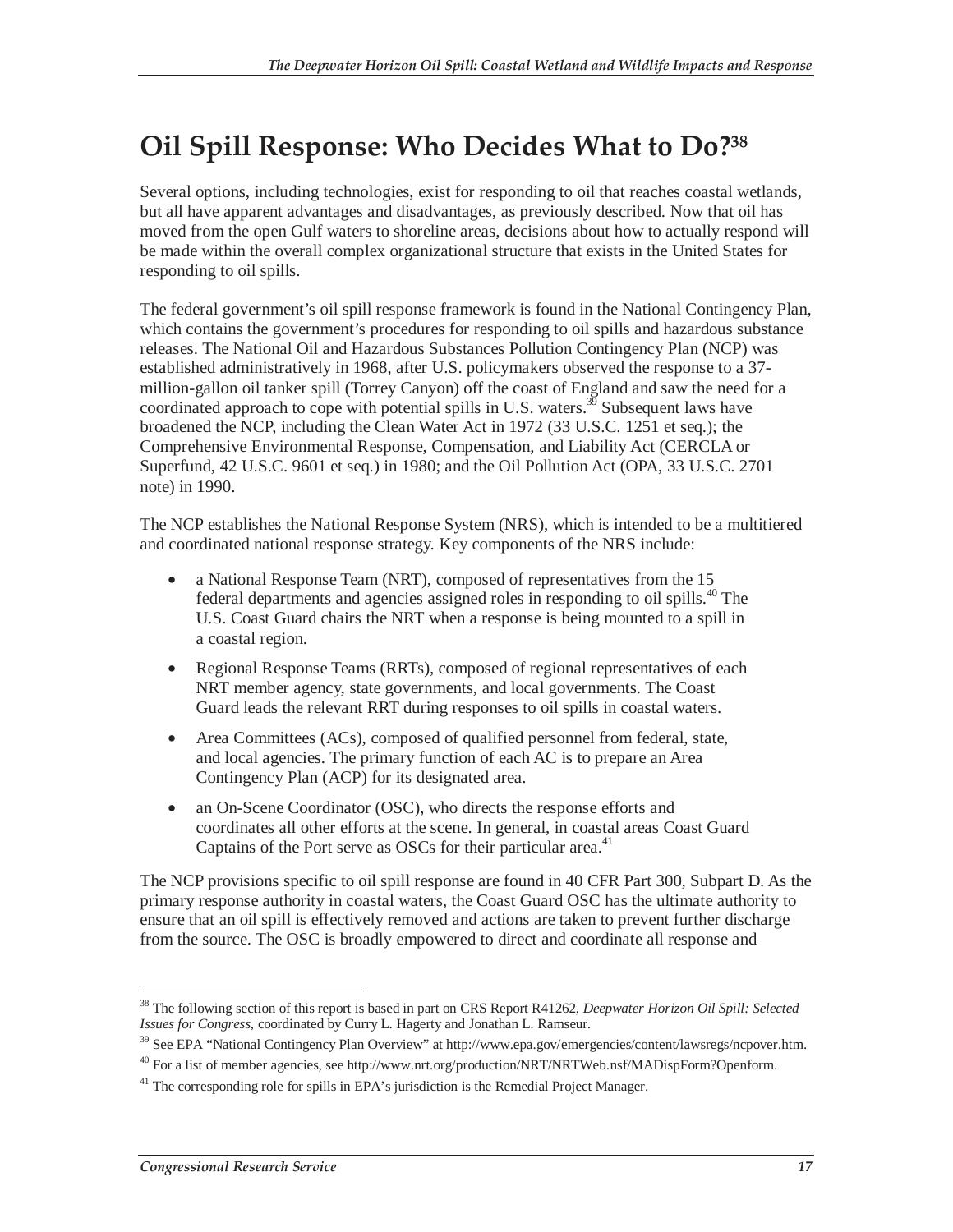## **Oil Spill Response: Who Decides What to Do?38**

Several options, including technologies, exist for responding to oil that reaches coastal wetlands, but all have apparent advantages and disadvantages, as previously described. Now that oil has moved from the open Gulf waters to shoreline areas, decisions about how to actually respond will be made within the overall complex organizational structure that exists in the United States for responding to oil spills.

The federal government's oil spill response framework is found in the National Contingency Plan, which contains the government's procedures for responding to oil spills and hazardous substance releases. The National Oil and Hazardous Substances Pollution Contingency Plan (NCP) was established administratively in 1968, after U.S. policymakers observed the response to a 37 million-gallon oil tanker spill (Torrey Canyon) off the coast of England and saw the need for a coordinated approach to cope with potential spills in U.S. waters.<sup>39</sup> Subsequent laws have broadened the NCP, including the Clean Water Act in 1972 (33 U.S.C. 1251 et seq.); the Comprehensive Environmental Response, Compensation, and Liability Act (CERCLA or Superfund, 42 U.S.C. 9601 et seq.) in 1980; and the Oil Pollution Act (OPA, 33 U.S.C. 2701 note) in 1990.

The NCP establishes the National Response System (NRS), which is intended to be a multitiered and coordinated national response strategy. Key components of the NRS include:

- a National Response Team (NRT), composed of representatives from the 15 federal departments and agencies assigned roles in responding to oil spills.<sup>40</sup> The U.S. Coast Guard chairs the NRT when a response is being mounted to a spill in a coastal region.
- Regional Response Teams (RRTs), composed of regional representatives of each NRT member agency, state governments, and local governments. The Coast Guard leads the relevant RRT during responses to oil spills in coastal waters.
- Area Committees (ACs), composed of qualified personnel from federal, state, and local agencies. The primary function of each AC is to prepare an Area Contingency Plan (ACP) for its designated area.
- an On-Scene Coordinator (OSC), who directs the response efforts and coordinates all other efforts at the scene. In general, in coastal areas Coast Guard Captains of the Port serve as OSCs for their particular area.<sup>41</sup>

The NCP provisions specific to oil spill response are found in 40 CFR Part 300, Subpart D. As the primary response authority in coastal waters, the Coast Guard OSC has the ultimate authority to ensure that an oil spill is effectively removed and actions are taken to prevent further discharge from the source. The OSC is broadly empowered to direct and coordinate all response and

 $\overline{a}$ 38 The following section of this report is based in part on CRS Report R41262, *Deepwater Horizon Oil Spill: Selected Issues for Congress*, coordinated by Curry L. Hagerty and Jonathan L. Ramseur.

<sup>&</sup>lt;sup>39</sup> See EPA "National Contingency Plan Overview" at http://www.epa.gov/emergencies/content/lawsregs/ncpover.htm.

<sup>&</sup>lt;sup>40</sup> For a list of member agencies, see http://www.nrt.org/production/NRT/NRTWeb.nsf/MADispForm?Openform.

 $41$ <sup>41</sup> The corresponding role for spills in EPA's jurisdiction is the Remedial Project Manager.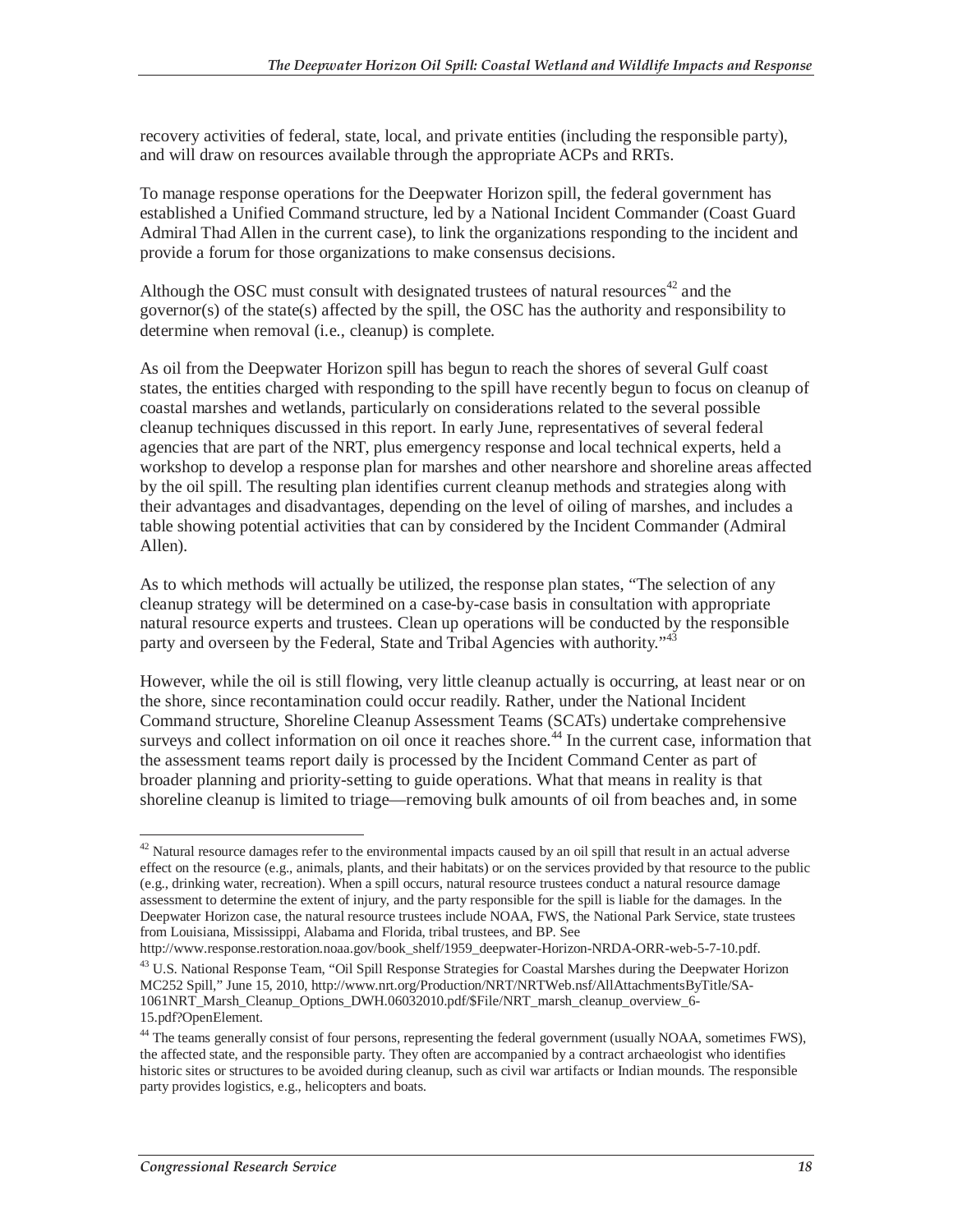recovery activities of federal, state, local, and private entities (including the responsible party), and will draw on resources available through the appropriate ACPs and RRTs.

To manage response operations for the Deepwater Horizon spill, the federal government has established a Unified Command structure, led by a National Incident Commander (Coast Guard Admiral Thad Allen in the current case), to link the organizations responding to the incident and provide a forum for those organizations to make consensus decisions.

Although the OSC must consult with designated trustees of natural resources<sup>42</sup> and the governor(s) of the state(s) affected by the spill, the OSC has the authority and responsibility to determine when removal (i.e., cleanup) is complete.

As oil from the Deepwater Horizon spill has begun to reach the shores of several Gulf coast states, the entities charged with responding to the spill have recently begun to focus on cleanup of coastal marshes and wetlands, particularly on considerations related to the several possible cleanup techniques discussed in this report. In early June, representatives of several federal agencies that are part of the NRT, plus emergency response and local technical experts, held a workshop to develop a response plan for marshes and other nearshore and shoreline areas affected by the oil spill. The resulting plan identifies current cleanup methods and strategies along with their advantages and disadvantages, depending on the level of oiling of marshes, and includes a table showing potential activities that can by considered by the Incident Commander (Admiral Allen).

As to which methods will actually be utilized, the response plan states, "The selection of any cleanup strategy will be determined on a case-by-case basis in consultation with appropriate natural resource experts and trustees. Clean up operations will be conducted by the responsible party and overseen by the Federal, State and Tribal Agencies with authority."<sup>43</sup>

However, while the oil is still flowing, very little cleanup actually is occurring, at least near or on the shore, since recontamination could occur readily. Rather, under the National Incident Command structure, Shoreline Cleanup Assessment Teams (SCATs) undertake comprehensive surveys and collect information on oil once it reaches shore.<sup>44</sup> In the current case, information that the assessment teams report daily is processed by the Incident Command Center as part of broader planning and priority-setting to guide operations. What that means in reality is that shoreline cleanup is limited to triage—removing bulk amounts of oil from beaches and, in some

<sup>-</sup> $42$  Natural resource damages refer to the environmental impacts caused by an oil spill that result in an actual adverse effect on the resource (e.g., animals, plants, and their habitats) or on the services provided by that resource to the public (e.g., drinking water, recreation). When a spill occurs, natural resource trustees conduct a natural resource damage assessment to determine the extent of injury, and the party responsible for the spill is liable for the damages. In the Deepwater Horizon case, the natural resource trustees include NOAA, FWS, the National Park Service, state trustees from Louisiana, Mississippi, Alabama and Florida, tribal trustees, and BP. See

http://www.response.restoration.noaa.gov/book\_shelf/1959\_deepwater-Horizon-NRDA-ORR-web-5-7-10.pdf.

<sup>&</sup>lt;sup>43</sup> U.S. National Response Team, "Oil Spill Response Strategies for Coastal Marshes during the Deepwater Horizon MC252 Spill," June 15, 2010, http://www.nrt.org/Production/NRT/NRTWeb.nsf/AllAttachmentsByTitle/SA-1061NRT\_Marsh\_Cleanup\_Options\_DWH.06032010.pdf/\$File/NRT\_marsh\_cleanup\_overview\_6- 15.pdf?OpenElement.

<sup>&</sup>lt;sup>44</sup> The teams generally consist of four persons, representing the federal government (usually NOAA, sometimes FWS), the affected state, and the responsible party. They often are accompanied by a contract archaeologist who identifies historic sites or structures to be avoided during cleanup, such as civil war artifacts or Indian mounds. The responsible party provides logistics, e.g., helicopters and boats.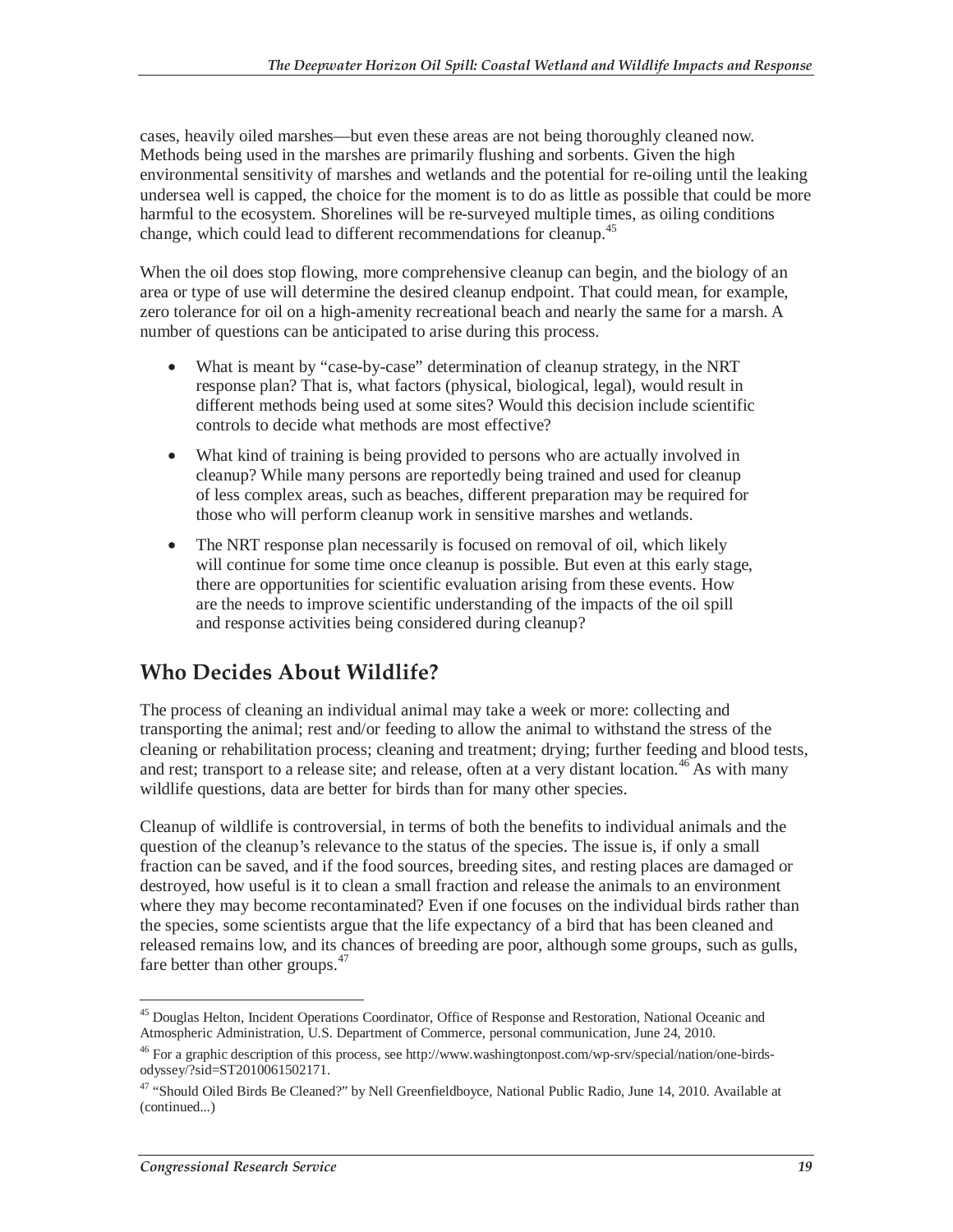cases, heavily oiled marshes—but even these areas are not being thoroughly cleaned now. Methods being used in the marshes are primarily flushing and sorbents. Given the high environmental sensitivity of marshes and wetlands and the potential for re-oiling until the leaking undersea well is capped, the choice for the moment is to do as little as possible that could be more harmful to the ecosystem. Shorelines will be re-surveyed multiple times, as oiling conditions change, which could lead to different recommendations for cleanup.<sup>45</sup>

When the oil does stop flowing, more comprehensive cleanup can begin, and the biology of an area or type of use will determine the desired cleanup endpoint. That could mean, for example, zero tolerance for oil on a high-amenity recreational beach and nearly the same for a marsh. A number of questions can be anticipated to arise during this process.

- What is meant by "case-by-case" determination of cleanup strategy, in the NRT response plan? That is, what factors (physical, biological, legal), would result in different methods being used at some sites? Would this decision include scientific controls to decide what methods are most effective?
- What kind of training is being provided to persons who are actually involved in cleanup? While many persons are reportedly being trained and used for cleanup of less complex areas, such as beaches, different preparation may be required for those who will perform cleanup work in sensitive marshes and wetlands.
- The NRT response plan necessarily is focused on removal of oil, which likely will continue for some time once cleanup is possible. But even at this early stage, there are opportunities for scientific evaluation arising from these events. How are the needs to improve scientific understanding of the impacts of the oil spill and response activities being considered during cleanup?

### **Who Decides About Wildlife?**

The process of cleaning an individual animal may take a week or more: collecting and transporting the animal; rest and/or feeding to allow the animal to withstand the stress of the cleaning or rehabilitation process; cleaning and treatment; drying; further feeding and blood tests, and rest; transport to a release site; and release, often at a very distant location.<sup>46</sup> As with many wildlife questions, data are better for birds than for many other species.

Cleanup of wildlife is controversial, in terms of both the benefits to individual animals and the question of the cleanup's relevance to the status of the species. The issue is, if only a small fraction can be saved, and if the food sources, breeding sites, and resting places are damaged or destroyed, how useful is it to clean a small fraction and release the animals to an environment where they may become recontaminated? Even if one focuses on the individual birds rather than the species, some scientists argue that the life expectancy of a bird that has been cleaned and released remains low, and its chances of breeding are poor, although some groups, such as gulls, fare better than other groups. $47$ 

 $\overline{a}$ <sup>45</sup> Douglas Helton, Incident Operations Coordinator, Office of Response and Restoration, National Oceanic and Atmospheric Administration, U.S. Department of Commerce, personal communication, June 24, 2010.

<sup>&</sup>lt;sup>46</sup> For a graphic description of this process, see http://www.washingtonpost.com/wp-srv/special/nation/one-birdsodyssey/?sid=ST2010061502171.

<sup>&</sup>lt;sup>47</sup> "Should Oiled Birds Be Cleaned?" by Nell Greenfieldboyce, National Public Radio, June 14, 2010. Available at (continued...)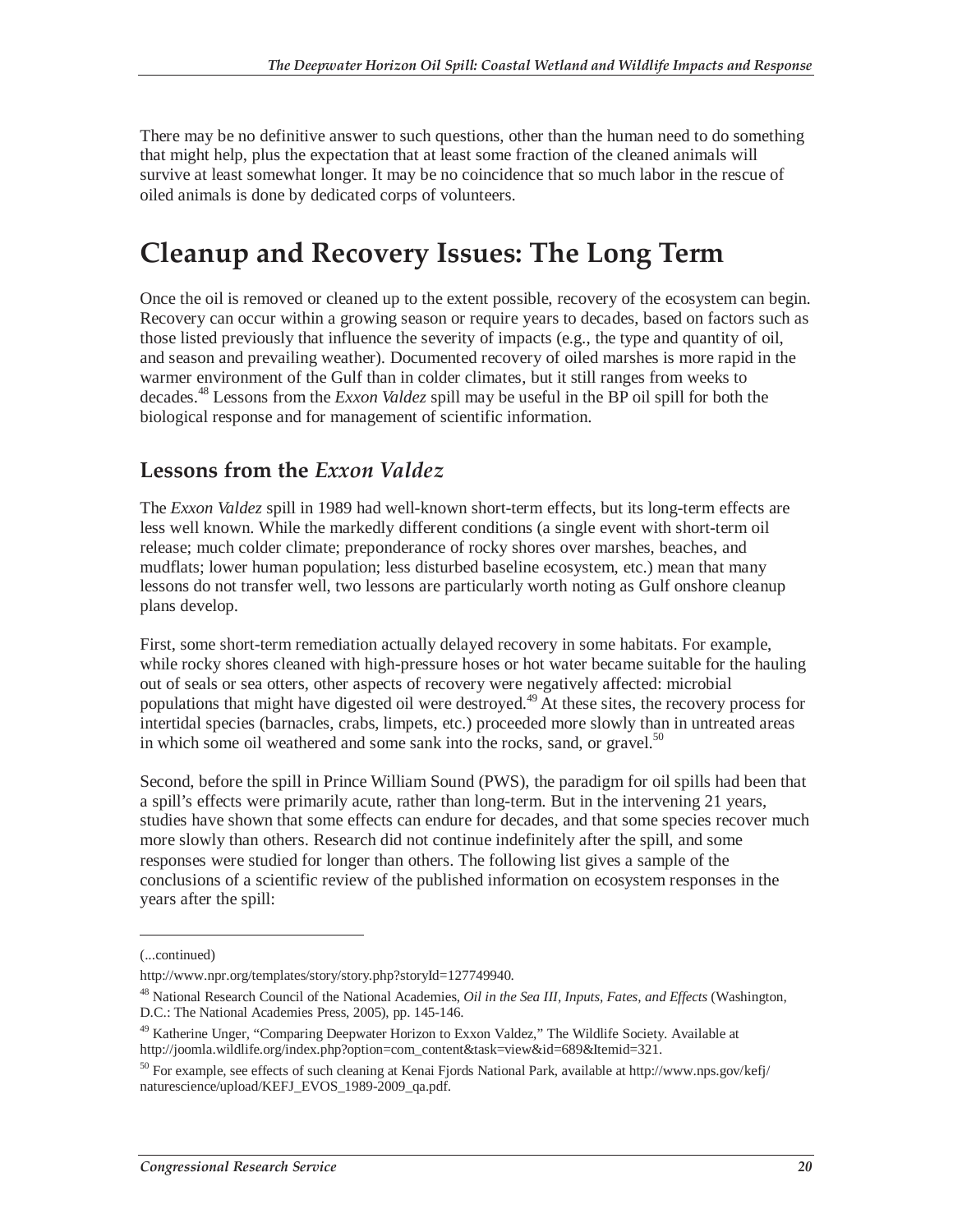There may be no definitive answer to such questions, other than the human need to do something that might help, plus the expectation that at least some fraction of the cleaned animals will survive at least somewhat longer. It may be no coincidence that so much labor in the rescue of oiled animals is done by dedicated corps of volunteers.

## **Cleanup and Recovery Issues: The Long Term**

Once the oil is removed or cleaned up to the extent possible, recovery of the ecosystem can begin. Recovery can occur within a growing season or require years to decades, based on factors such as those listed previously that influence the severity of impacts (e.g., the type and quantity of oil, and season and prevailing weather). Documented recovery of oiled marshes is more rapid in the warmer environment of the Gulf than in colder climates, but it still ranges from weeks to decades.48 Lessons from the *Exxon Valdez* spill may be useful in the BP oil spill for both the biological response and for management of scientific information.

### **Lessons from the** *Exxon Valdez*

The *Exxon Valdez* spill in 1989 had well-known short-term effects, but its long-term effects are less well known. While the markedly different conditions (a single event with short-term oil release; much colder climate; preponderance of rocky shores over marshes, beaches, and mudflats; lower human population; less disturbed baseline ecosystem, etc.) mean that many lessons do not transfer well, two lessons are particularly worth noting as Gulf onshore cleanup plans develop.

First, some short-term remediation actually delayed recovery in some habitats. For example, while rocky shores cleaned with high-pressure hoses or hot water became suitable for the hauling out of seals or sea otters, other aspects of recovery were negatively affected: microbial populations that might have digested oil were destroyed.49 At these sites, the recovery process for intertidal species (barnacles, crabs, limpets, etc.) proceeded more slowly than in untreated areas in which some oil weathered and some sank into the rocks, sand, or gravel.<sup>50</sup>

Second, before the spill in Prince William Sound (PWS), the paradigm for oil spills had been that a spill's effects were primarily acute, rather than long-term. But in the intervening 21 years, studies have shown that some effects can endure for decades, and that some species recover much more slowly than others. Research did not continue indefinitely after the spill, and some responses were studied for longer than others. The following list gives a sample of the conclusions of a scientific review of the published information on ecosystem responses in the years after the spill:

-

<sup>(...</sup>continued)

http://www.npr.org/templates/story/story.php?storyId=127749940.

<sup>48</sup> National Research Council of the National Academies, *Oil in the Sea III, Inputs, Fates, and Effects* (Washington, D.C.: The National Academies Press, 2005), pp. 145-146.

<sup>&</sup>lt;sup>49</sup> Katherine Unger, "Comparing Deepwater Horizon to Exxon Valdez," The Wildlife Society. Available at http://joomla.wildlife.org/index.php?option=com\_content&task=view&id=689&Itemid=321.

<sup>50</sup> For example, see effects of such cleaning at Kenai Fjords National Park, available at http://www.nps.gov/kefj/ naturescience/upload/KEFJ\_EVOS\_1989-2009\_qa.pdf.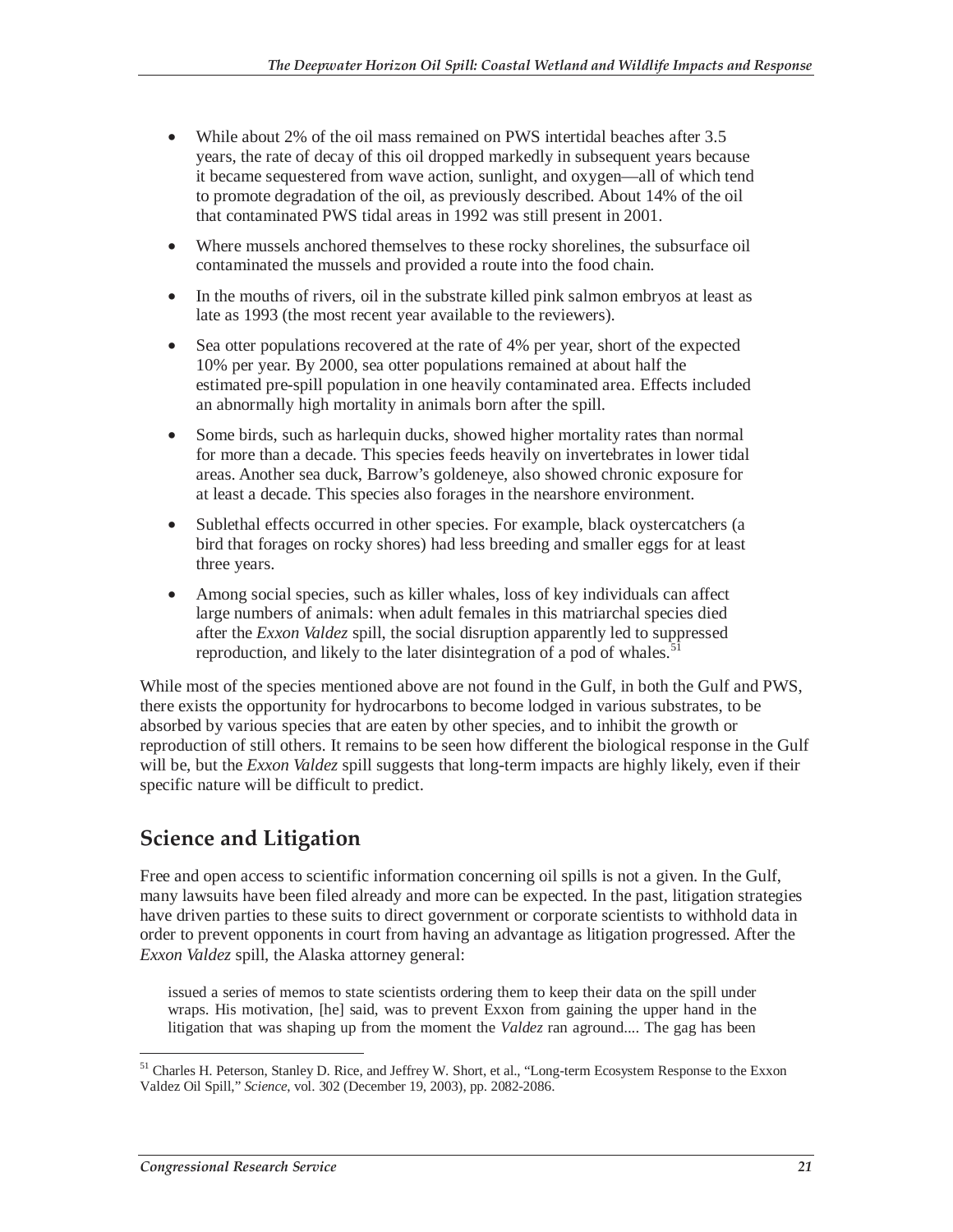- While about 2% of the oil mass remained on PWS intertidal beaches after 3.5 years, the rate of decay of this oil dropped markedly in subsequent years because it became sequestered from wave action, sunlight, and oxygen—all of which tend to promote degradation of the oil, as previously described. About 14% of the oil that contaminated PWS tidal areas in 1992 was still present in 2001.
- Where mussels anchored themselves to these rocky shorelines, the subsurface oil contaminated the mussels and provided a route into the food chain.
- In the mouths of rivers, oil in the substrate killed pink salmon embryos at least as late as 1993 (the most recent year available to the reviewers).
- Sea otter populations recovered at the rate of 4% per year, short of the expected 10% per year. By 2000, sea otter populations remained at about half the estimated pre-spill population in one heavily contaminated area. Effects included an abnormally high mortality in animals born after the spill.
- Some birds, such as harlequin ducks, showed higher mortality rates than normal for more than a decade. This species feeds heavily on invertebrates in lower tidal areas. Another sea duck, Barrow's goldeneye, also showed chronic exposure for at least a decade. This species also forages in the nearshore environment.
- Sublethal effects occurred in other species. For example, black oystercatchers (a bird that forages on rocky shores) had less breeding and smaller eggs for at least three years.
- Among social species, such as killer whales, loss of key individuals can affect large numbers of animals: when adult females in this matriarchal species died after the *Exxon Valdez* spill, the social disruption apparently led to suppressed reproduction, and likely to the later disintegration of a pod of whales.<sup>5</sup>

While most of the species mentioned above are not found in the Gulf, in both the Gulf and PWS, there exists the opportunity for hydrocarbons to become lodged in various substrates, to be absorbed by various species that are eaten by other species, and to inhibit the growth or reproduction of still others. It remains to be seen how different the biological response in the Gulf will be, but the *Exxon Valdez* spill suggests that long-term impacts are highly likely, even if their specific nature will be difficult to predict.

## **Science and Litigation**

Free and open access to scientific information concerning oil spills is not a given. In the Gulf, many lawsuits have been filed already and more can be expected. In the past, litigation strategies have driven parties to these suits to direct government or corporate scientists to withhold data in order to prevent opponents in court from having an advantage as litigation progressed. After the *Exxon Valdez* spill, the Alaska attorney general:

issued a series of memos to state scientists ordering them to keep their data on the spill under wraps. His motivation, [he] said, was to prevent Exxon from gaining the upper hand in the litigation that was shaping up from the moment the *Valdez* ran aground.... The gag has been

-

<sup>&</sup>lt;sup>51</sup> Charles H. Peterson, Stanley D. Rice, and Jeffrey W. Short, et al., "Long-term Ecosystem Response to the Exxon Valdez Oil Spill," *Science*, vol. 302 (December 19, 2003), pp. 2082-2086.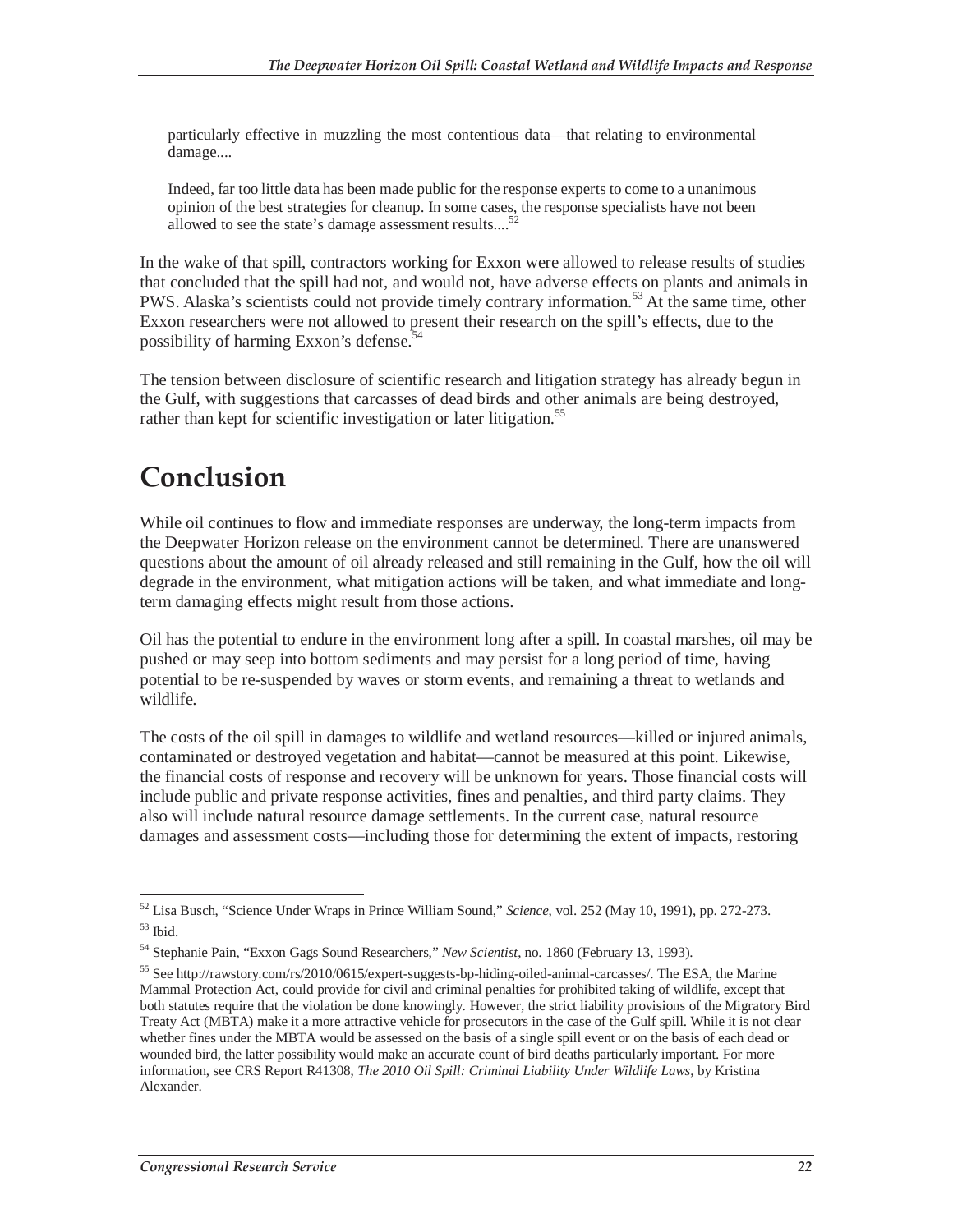particularly effective in muzzling the most contentious data—that relating to environmental damage....

Indeed, far too little data has been made public for the response experts to come to a unanimous opinion of the best strategies for cleanup. In some cases, the response specialists have not been allowed to see the state's damage assessment results....<sup>5</sup>

In the wake of that spill, contractors working for Exxon were allowed to release results of studies that concluded that the spill had not, and would not, have adverse effects on plants and animals in PWS. Alaska's scientists could not provide timely contrary information.<sup>53</sup> At the same time, other Exxon researchers were not allowed to present their research on the spill's effects, due to the possibility of harming Exxon's defense.<sup>54</sup>

The tension between disclosure of scientific research and litigation strategy has already begun in the Gulf, with suggestions that carcasses of dead birds and other animals are being destroyed, rather than kept for scientific investigation or later litigation.<sup>55</sup>

## **Conclusion**

While oil continues to flow and immediate responses are underway, the long-term impacts from the Deepwater Horizon release on the environment cannot be determined. There are unanswered questions about the amount of oil already released and still remaining in the Gulf, how the oil will degrade in the environment, what mitigation actions will be taken, and what immediate and longterm damaging effects might result from those actions.

Oil has the potential to endure in the environment long after a spill. In coastal marshes, oil may be pushed or may seep into bottom sediments and may persist for a long period of time, having potential to be re-suspended by waves or storm events, and remaining a threat to wetlands and wildlife.

The costs of the oil spill in damages to wildlife and wetland resources—killed or injured animals, contaminated or destroyed vegetation and habitat—cannot be measured at this point. Likewise, the financial costs of response and recovery will be unknown for years. Those financial costs will include public and private response activities, fines and penalties, and third party claims. They also will include natural resource damage settlements. In the current case, natural resource damages and assessment costs—including those for determining the extent of impacts, restoring

<sup>-</sup>52 Lisa Busch, "Science Under Wraps in Prince William Sound," *Science*, vol. 252 (May 10, 1991), pp. 272-273. 53 Ibid.

<sup>54</sup> Stephanie Pain, "Exxon Gags Sound Researchers," *New Scientist*, no. 1860 (February 13, 1993).

<sup>55</sup> See http://rawstory.com/rs/2010/0615/expert-suggests-bp-hiding-oiled-animal-carcasses/. The ESA, the Marine Mammal Protection Act, could provide for civil and criminal penalties for prohibited taking of wildlife, except that both statutes require that the violation be done knowingly. However, the strict liability provisions of the Migratory Bird Treaty Act (MBTA) make it a more attractive vehicle for prosecutors in the case of the Gulf spill. While it is not clear whether fines under the MBTA would be assessed on the basis of a single spill event or on the basis of each dead or wounded bird, the latter possibility would make an accurate count of bird deaths particularly important. For more information, see CRS Report R41308, *The 2010 Oil Spill: Criminal Liability Under Wildlife Laws*, by Kristina Alexander.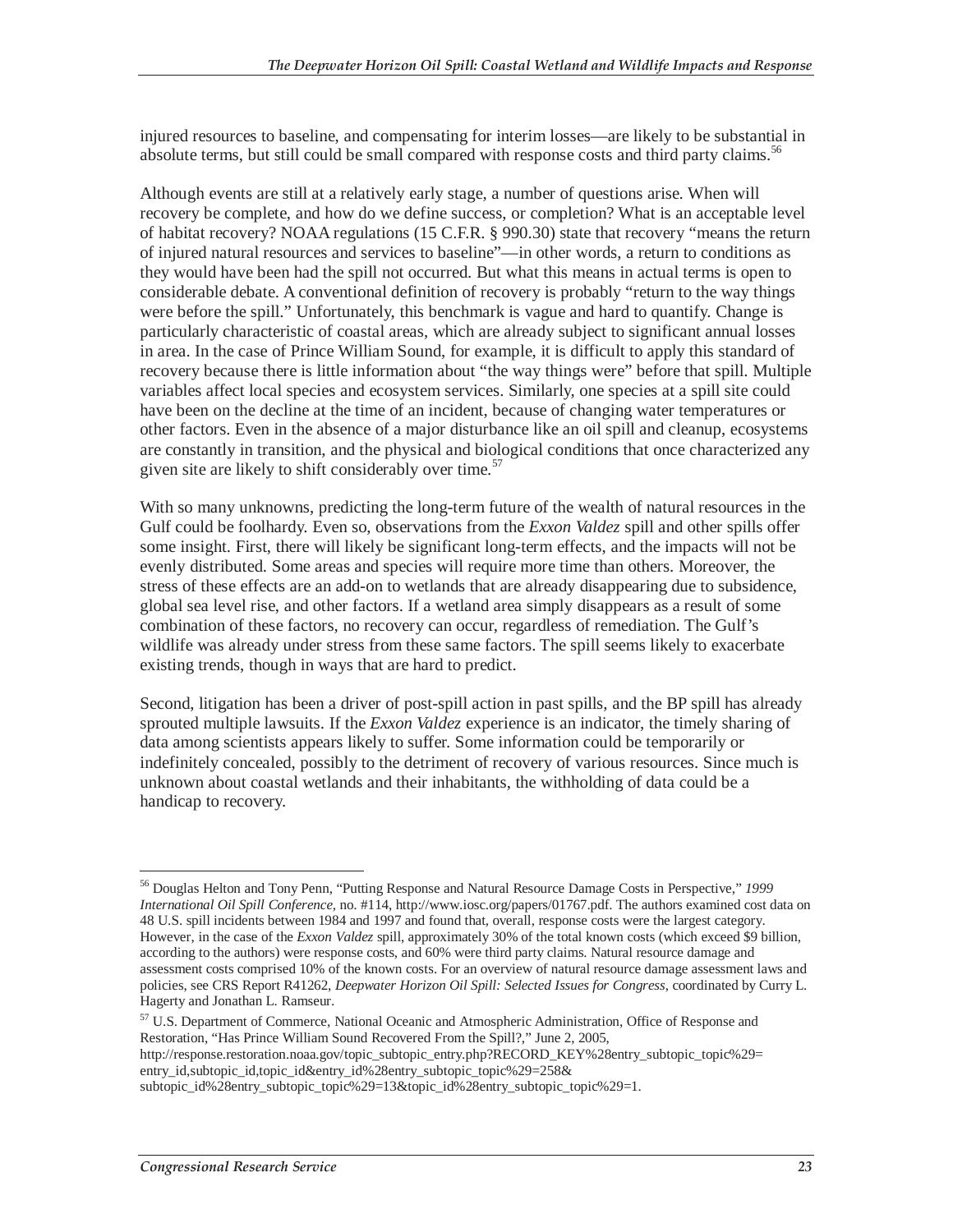injured resources to baseline, and compensating for interim losses—are likely to be substantial in absolute terms, but still could be small compared with response costs and third party claims.<sup>56</sup>

Although events are still at a relatively early stage, a number of questions arise. When will recovery be complete, and how do we define success, or completion? What is an acceptable level of habitat recovery? NOAA regulations (15 C.F.R. § 990.30) state that recovery "means the return of injured natural resources and services to baseline"—in other words, a return to conditions as they would have been had the spill not occurred. But what this means in actual terms is open to considerable debate. A conventional definition of recovery is probably "return to the way things were before the spill." Unfortunately, this benchmark is vague and hard to quantify. Change is particularly characteristic of coastal areas, which are already subject to significant annual losses in area. In the case of Prince William Sound, for example, it is difficult to apply this standard of recovery because there is little information about "the way things were" before that spill. Multiple variables affect local species and ecosystem services. Similarly, one species at a spill site could have been on the decline at the time of an incident, because of changing water temperatures or other factors. Even in the absence of a major disturbance like an oil spill and cleanup, ecosystems are constantly in transition, and the physical and biological conditions that once characterized any given site are likely to shift considerably over time.<sup>57</sup>

With so many unknowns, predicting the long-term future of the wealth of natural resources in the Gulf could be foolhardy. Even so, observations from the *Exxon Valdez* spill and other spills offer some insight. First, there will likely be significant long-term effects, and the impacts will not be evenly distributed. Some areas and species will require more time than others. Moreover, the stress of these effects are an add-on to wetlands that are already disappearing due to subsidence, global sea level rise, and other factors. If a wetland area simply disappears as a result of some combination of these factors, no recovery can occur, regardless of remediation. The Gulf's wildlife was already under stress from these same factors. The spill seems likely to exacerbate existing trends, though in ways that are hard to predict.

Second, litigation has been a driver of post-spill action in past spills, and the BP spill has already sprouted multiple lawsuits. If the *Exxon Valdez* experience is an indicator, the timely sharing of data among scientists appears likely to suffer. Some information could be temporarily or indefinitely concealed, possibly to the detriment of recovery of various resources. Since much is unknown about coastal wetlands and their inhabitants, the withholding of data could be a handicap to recovery.

http://response.restoration.noaa.gov/topic\_subtopic\_entry.php?RECORD\_KEY%28entry\_subtopic\_topic%29= entry\_id,subtopic\_id,topic\_id&entry\_id%28entry\_subtopic\_topic%29=258&

-

<sup>56</sup> Douglas Helton and Tony Penn, "Putting Response and Natural Resource Damage Costs in Perspective," *1999 International Oil Spill Conference*, no. #114, http://www.iosc.org/papers/01767.pdf. The authors examined cost data on 48 U.S. spill incidents between 1984 and 1997 and found that, overall, response costs were the largest category. However, in the case of the *Exxon Valdez* spill, approximately 30% of the total known costs (which exceed \$9 billion, according to the authors) were response costs, and 60% were third party claims. Natural resource damage and assessment costs comprised 10% of the known costs. For an overview of natural resource damage assessment laws and policies, see CRS Report R41262, *Deepwater Horizon Oil Spill: Selected Issues for Congress*, coordinated by Curry L. Hagerty and Jonathan L. Ramseur.

<sup>&</sup>lt;sup>57</sup> U.S. Department of Commerce, National Oceanic and Atmospheric Administration, Office of Response and Restoration, "Has Prince William Sound Recovered From the Spill?," June 2, 2005,

subtopic\_id%28entry\_subtopic\_topic%29=13&topic\_id%28entry\_subtopic\_topic%29=1.